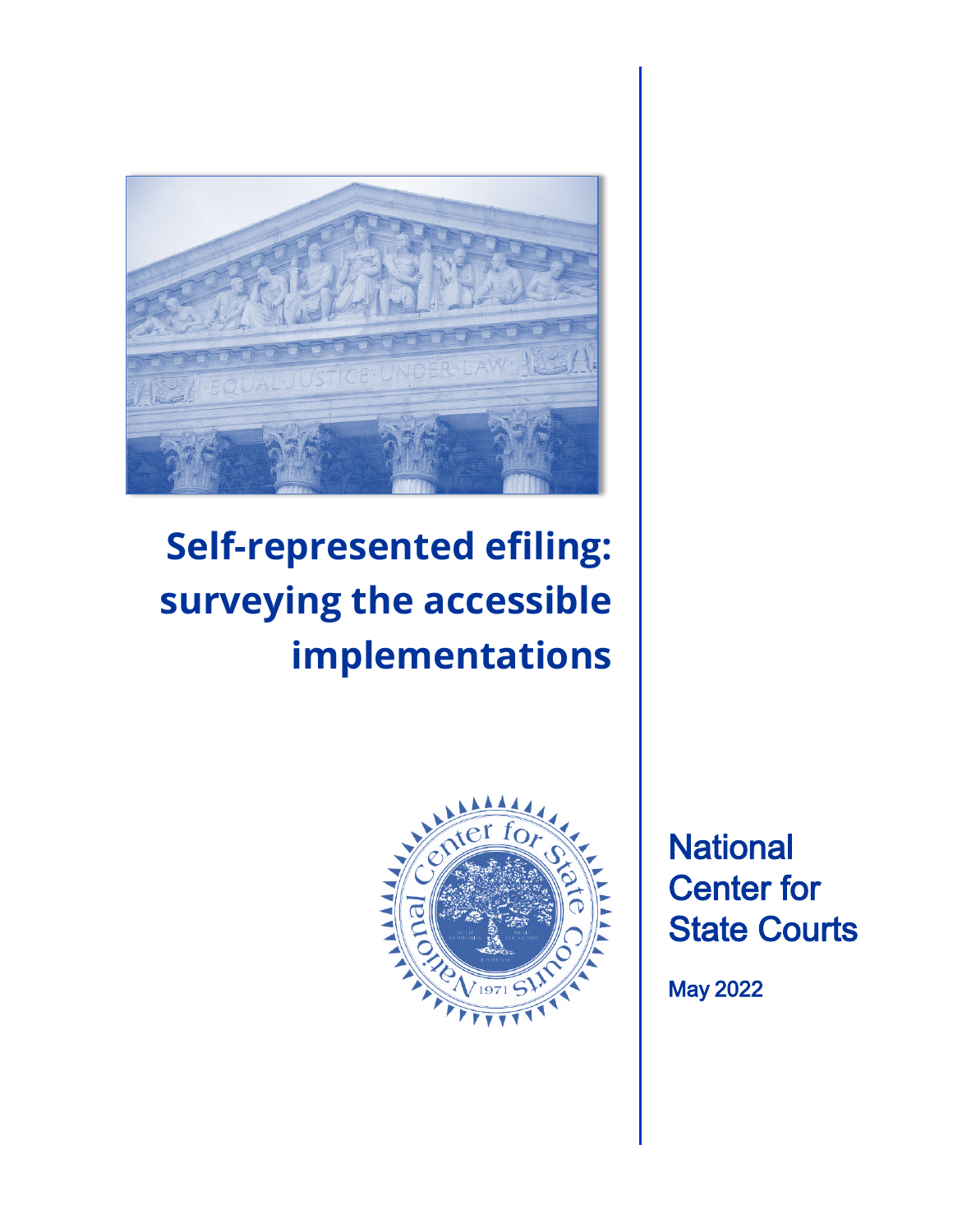

# **Self-represented efiling: surveying the accessible implementations**



**National** Center for State Courts

May 2022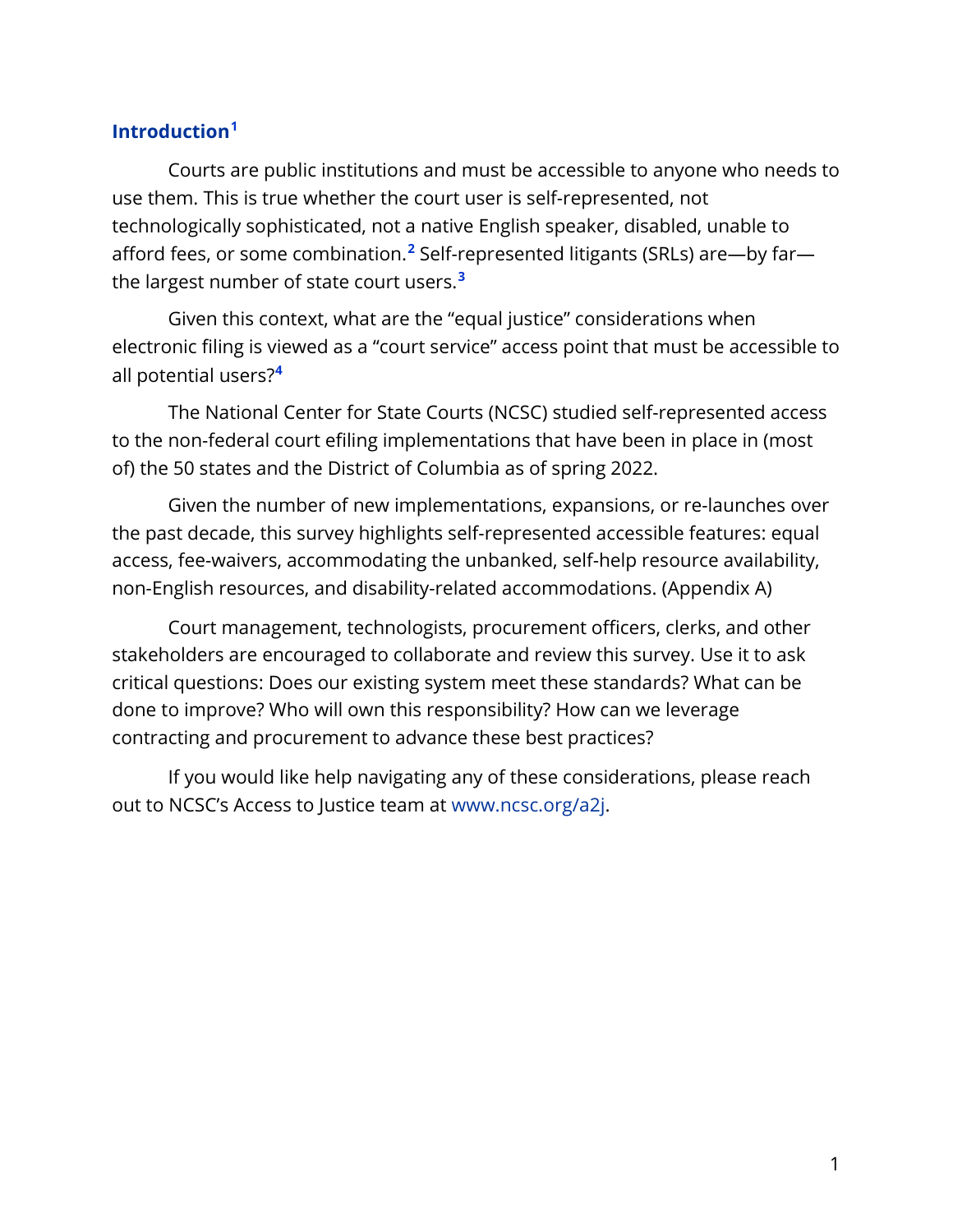### **Introduction[1](#page-12-0)**

Courts are public institutions and must be accessible to anyone who needs to use them. This is true whether the court user is self-represented, not technologically sophisticated, not a native English speaker, disabled, unable to afford fees, or some combination.**[2](#page-12-1)** Self-represented litigants (SRLs) are—by far the largest number of state court users.**[3](#page-12-2)**

Given this context, what are the "equal justice" considerations when electronic filing is viewed as a "court service" access point that must be accessible to all potential users?**[4](#page-12-3)**

The National Center for State Courts (NCSC) studied self-represented access to the non-federal court efiling implementations that have been in place in (most of) the 50 states and the District of Columbia as of spring 2022.

Given the number of new implementations, expansions, or re-launches over the past decade, this survey highlights self-represented accessible features: equal access, fee-waivers, accommodating the unbanked, self-help resource availability, non-English resources, and disability-related accommodations. (Appendix A)

Court management, technologists, procurement officers, clerks, and other stakeholders are encouraged to collaborate and review this survey. Use it to ask critical questions: Does our existing system meet these standards? What can be done to improve? Who will own this responsibility? How can we leverage contracting and procurement to advance these best practices?

If you would like help navigating any of these considerations, please reach out to NCSC's Access to Justice team at [www.ncsc.org/a2j.](http://www.ncsc.org/a2j)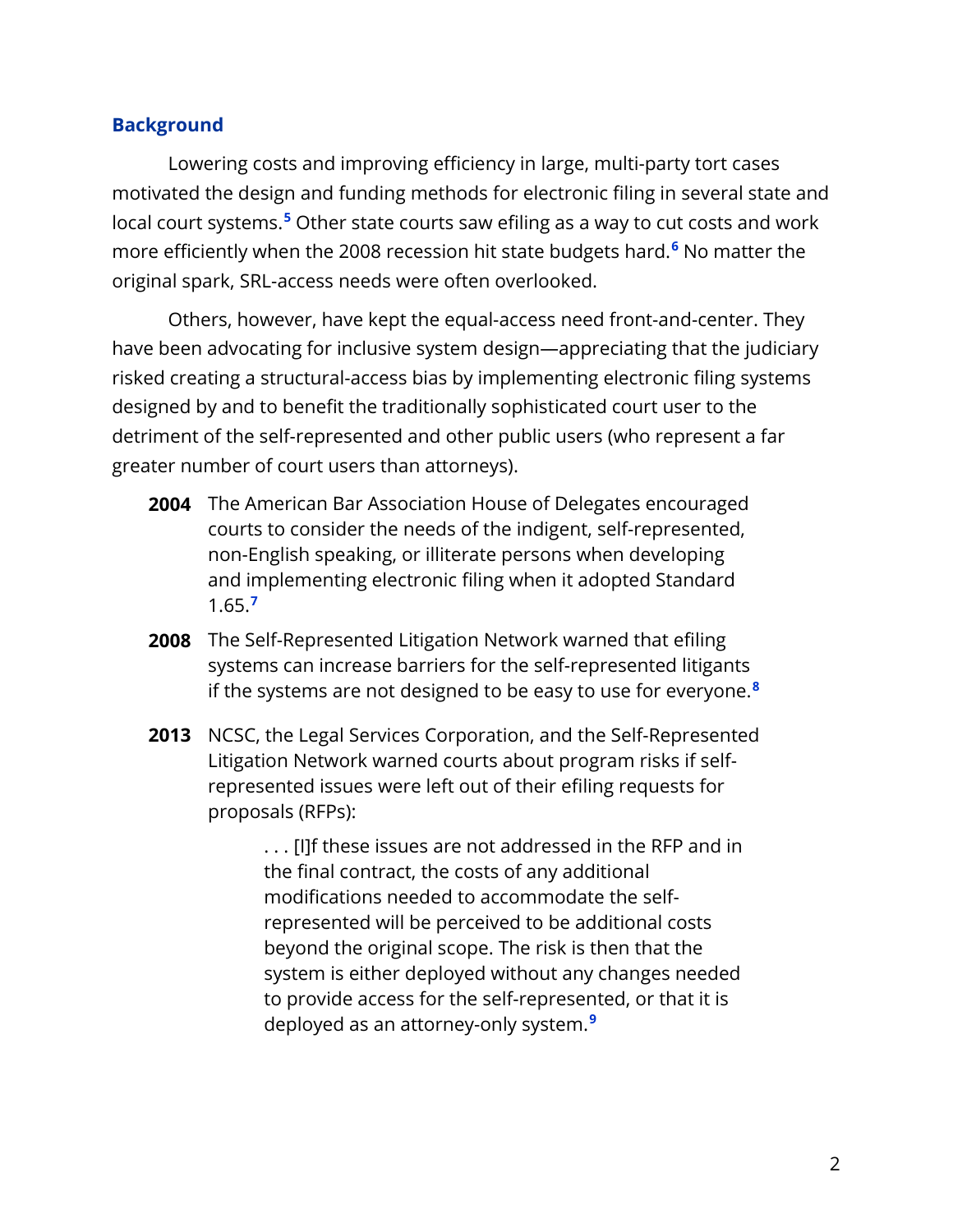#### **Background**

Lowering costs and improving efficiency in large, multi-party tort cases motivated the design and funding methods for electronic filing in several state and local court systems.**[5](#page-12-4)** Other state courts saw efiling as a way to cut costs and work more efficiently when the 2008 recession hit state budgets hard.**[6](#page-12-5)** No matter the original spark, SRL-access needs were often overlooked.

Others, however, have kept the equal-access need front-and-center. They have been advocating for inclusive system design—appreciating that the judiciary risked creating a structural-access bias by implementing electronic filing systems designed by and to benefit the traditionally sophisticated court user to the detriment of the self-represented and other public users (who represent a far greater number of court users than attorneys).

- **2004** The American Bar Association House of Delegates encouraged courts to consider the needs of the indigent, self-represented, non-English speaking, or illiterate persons when developing and implementing electronic filing when it adopted Standard 1.65.**[7](#page-12-6)**
- **2008** The Self-Represented Litigation Network warned that efiling systems can increase barriers for the self-represented litigants if the systems are not designed to be easy to use for everyone. **[8](#page-13-0)**
- **2013** NCSC, the Legal Services Corporation, and the Self-Represented Litigation Network warned courts about program risks if selfrepresented issues were left out of their efiling requests for proposals (RFPs):

. . . [I]f these issues are not addressed in the RFP and in the final contract, the costs of any additional modifications needed to accommodate the selfrepresented will be perceived to be additional costs beyond the original scope. The risk is then that the system is either deployed without any changes needed to provide access for the self-represented, or that it is deployed as an attorney-only system. **[9](#page-13-1)**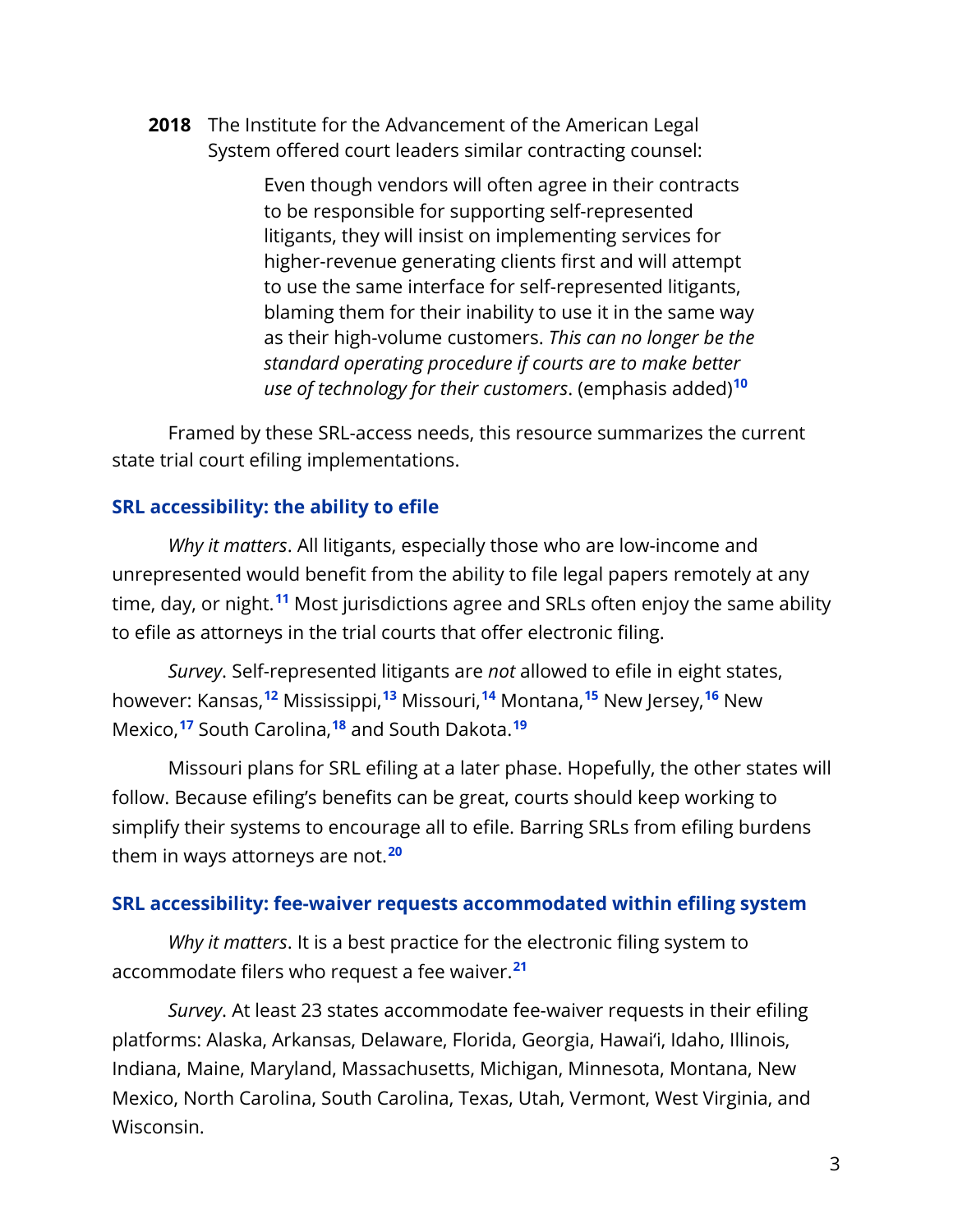**2018** The Institute for the Advancement of the American Legal System offered court leaders similar contracting counsel:

> Even though vendors will often agree in their contracts to be responsible for supporting self-represented litigants, they will insist on implementing services for higher-revenue generating clients first and will attempt to use the same interface for self-represented litigants, blaming them for their inability to use it in the same way as their high-volume customers. *This can no longer be the standard operating procedure if courts are to make better use of technology for their customers*. (emphasis added)**[10](#page-13-2)**

Framed by these SRL-access needs, this resource summarizes the current state trial court efiling implementations.

#### **SRL accessibility: the ability to efile**

*Why it matters*. All litigants, especially those who are low-income and unrepresented would benefit from the ability to file legal papers remotely at any time, day, or night. **[11](#page-13-3)** Most jurisdictions agree and SRLs often enjoy the same ability to efile as attorneys in the trial courts that offer electronic filing.

*Survey*. Self-represented litigants are *not* allowed to efile in eight states, however: Kansas, **[12](#page-13-4)** Mississippi, **[13](#page-13-5)** Missouri, **[14](#page-13-6)** Montana, **[15](#page-13-7)** New Jersey, **[16](#page-13-8)** New Mexico, **[17](#page-13-9)** South Carolina, **[18](#page-13-10)** and South Dakota. **[19](#page-13-11)**

Missouri plans for SRL efiling at a later phase. Hopefully, the other states will follow. Because efiling's benefits can be great, courts should keep working to simplify their systems to encourage all to efile. Barring SRLs from efiling burdens them in ways attorneys are not.**[20](#page-13-12)**

#### **SRL accessibility: fee-waiver requests accommodated within efiling system**

 *Why it matters*. It is a best practice for the electronic filing system to accommodate filers who request a fee waiver.**[21](#page-13-13)**

*Survey*. At least 23 states accommodate fee-waiver requests in their efiling platforms: Alaska, Arkansas, Delaware, Florida, Georgia, Hawai'i, Idaho, Illinois, Indiana, Maine, Maryland, Massachusetts, Michigan, Minnesota, Montana, New Mexico, North Carolina, South Carolina, Texas, Utah, Vermont, West Virginia, and Wisconsin.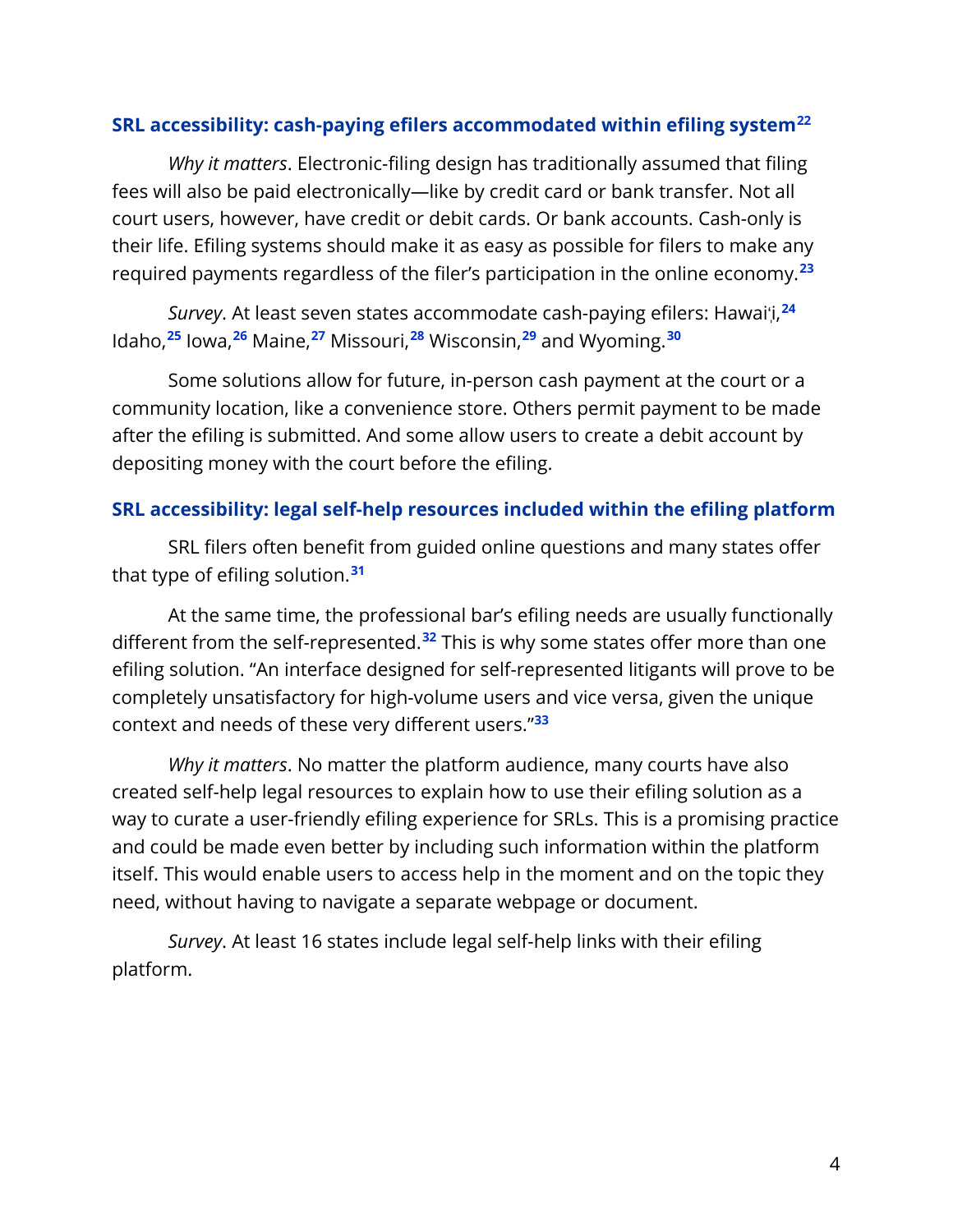#### **SRL accessibility: cash-paying efilers accommodated within efiling system[22](#page-14-0)**

*Why it matters*. Electronic-filing design has traditionally assumed that filing fees will also be paid electronically—like by credit card or bank transfer. Not all court users, however, have credit or debit cards. Or bank accounts. Cash-only is their life. Efiling systems should make it as easy as possible for filers to make any required payments regardless of the filer's participation in the online economy.**[23](#page-14-1)**

*Survey*. At least seven states accommodate cash-paying efilers: Hawai'ֽi,*23F* **24** <code>ldaho, $^{25}$  Iowa, $^{26}$  Maine, $^{27}$  Missouri, $^{28}$  Wisconsin, $^{29}$  and Wyoming. $^{30}$ </code>

Some solutions allow for future, in-person cash payment at the court or a community location, like a convenience store. Others permit payment to be made after the efiling is submitted. And some allow users to create a debit account by depositing money with the court before the efiling.

#### **SRL accessibility: legal self-help resources included within the efiling platform**

SRL filers often benefit from guided online questions and many states offer that type of efiling solution. **[31](#page-15-0)**

At the same time, the professional bar's efiling needs are usually functionally different from the self-represented.**[32](#page-15-1)** This is why some states offer more than one efiling solution. "An interface designed for self-represented litigants will prove to be completely unsatisfactory for high-volume users and vice versa, given the unique context and needs of these very different users."**[33](#page-15-2)**

*Why it matters*. No matter the platform audience, many courts have also created self-help legal resources to explain how to use their efiling solution as a way to curate a user-friendly efiling experience for SRLs. This is a promising practice and could be made even better by including such information within the platform itself. This would enable users to access help in the moment and on the topic they need, without having to navigate a separate webpage or document.

*Survey*. At least 16 states include legal self-help links with their efiling platform.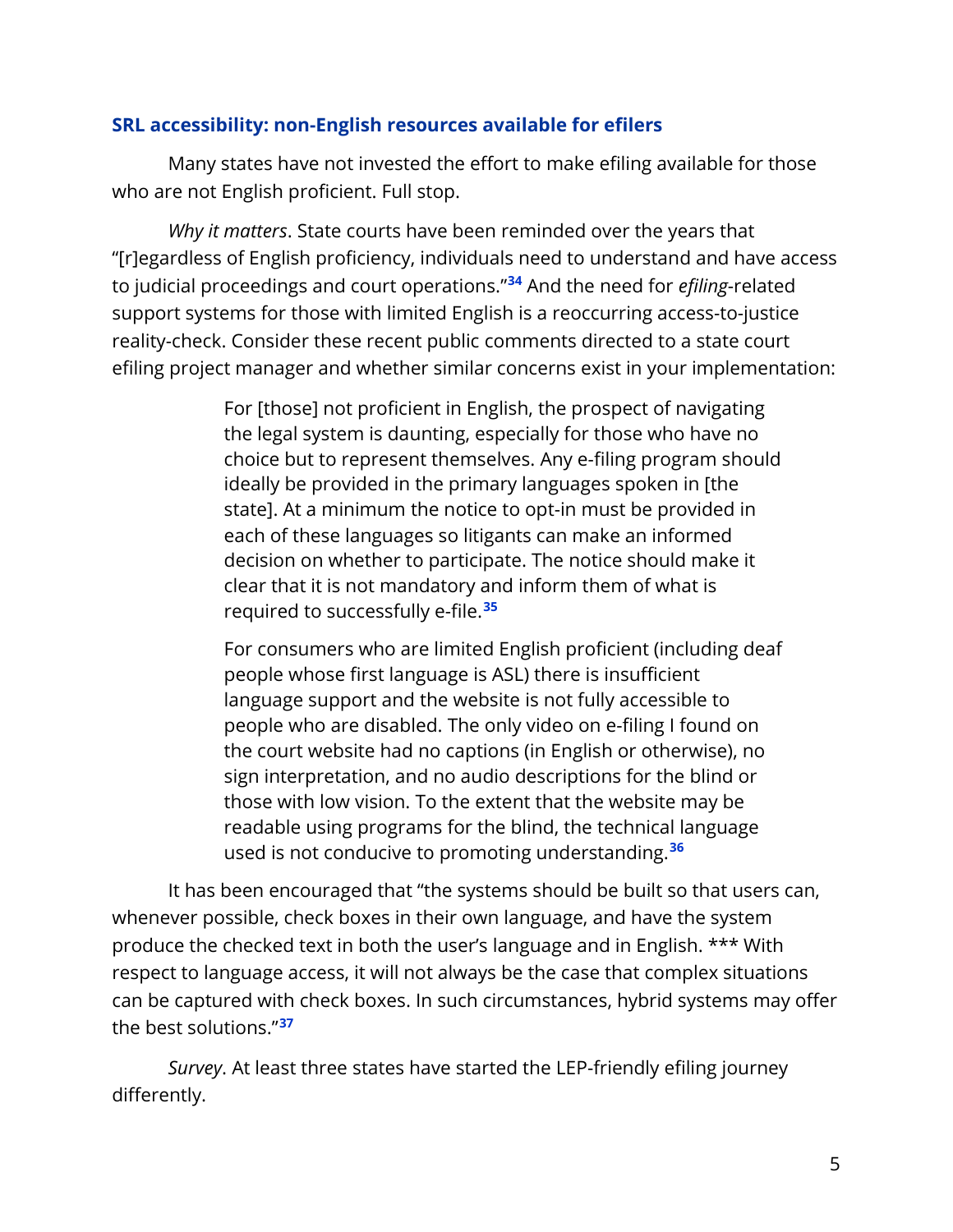#### **SRL accessibility: non-English resources available for efilers**

Many states have not invested the effort to make efiling available for those who are not English proficient. Full stop.

*Why it matters*. State courts have been reminded over the years that "[r]egardless of English proficiency, individuals need to understand and have access to judicial proceedings and court operations."**[34](#page-15-3)** And the need for *efiling*-related support systems for those with limited English is a reoccurring access-to-justice reality-check. Consider these recent public comments directed to a state court efiling project manager and whether similar concerns exist in your implementation:

> For [those] not proficient in English, the prospect of navigating the legal system is daunting, especially for those who have no choice but to represent themselves. Any e-filing program should ideally be provided in the primary languages spoken in [the state]. At a minimum the notice to opt-in must be provided in each of these languages so litigants can make an informed decision on whether to participate. The notice should make it clear that it is not mandatory and inform them of what is required to successfully e-file.**[35](#page-15-4)**

> For consumers who are limited English proficient (including deaf people whose first language is ASL) there is insufficient language support and the website is not fully accessible to people who are disabled. The only video on e-filing I found on the court website had no captions (in English or otherwise), no sign interpretation, and no audio descriptions for the blind or those with low vision. To the extent that the website may be readable using programs for the blind, the technical language used is not conducive to promoting understanding.**[36](#page-16-0)**

It has been encouraged that "the systems should be built so that users can, whenever possible, check boxes in their own language, and have the system produce the checked text in both the user's language and in English. \*\*\* With respect to language access, it will not always be the case that complex situations can be captured with check boxes. In such circumstances, hybrid systems may offer the best solutions."**[37](#page-16-1)**

*Survey*. At least three states have started the LEP-friendly efiling journey differently.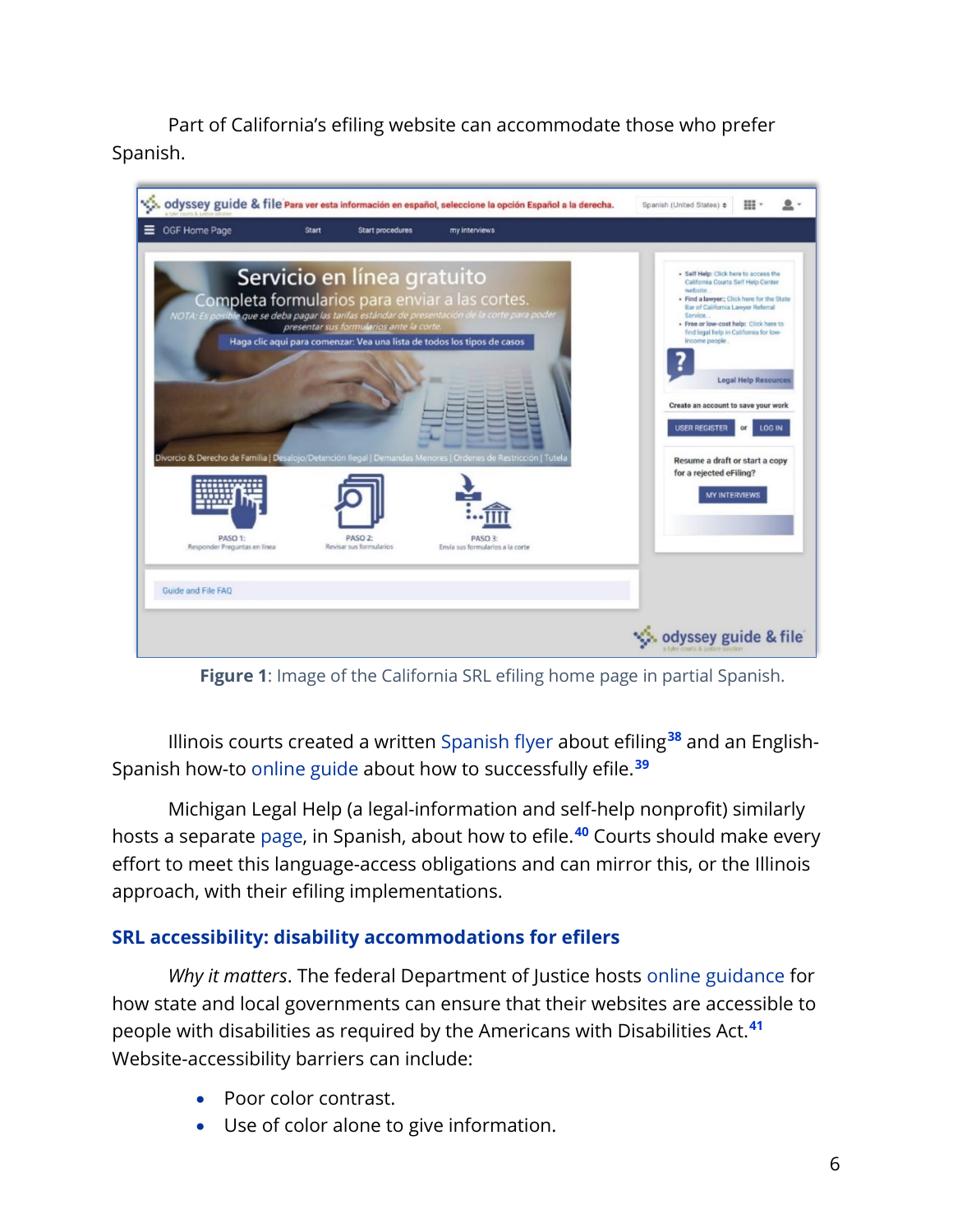Part of California's efiling website can accommodate those who prefer Spanish.

|                                                               |       |                                                                       | ်ႏွီး, odyssey guide & file Para ver esta información en español, seleccione la opción Español a la derecha.                                                                                                                                                                                                                                  | ⊞<br>Spanish (United States) ¢                                                                                                                                                                                                                                                                                                                                                                                                                                                 |
|---------------------------------------------------------------|-------|-----------------------------------------------------------------------|-----------------------------------------------------------------------------------------------------------------------------------------------------------------------------------------------------------------------------------------------------------------------------------------------------------------------------------------------|--------------------------------------------------------------------------------------------------------------------------------------------------------------------------------------------------------------------------------------------------------------------------------------------------------------------------------------------------------------------------------------------------------------------------------------------------------------------------------|
| OGF Home Page                                                 | Start | Start procedures                                                      | my interviews                                                                                                                                                                                                                                                                                                                                 |                                                                                                                                                                                                                                                                                                                                                                                                                                                                                |
|                                                               |       | Servicio en línea gratuito<br>presentar sus formularios ante la corte | Completa formularios para enviar a las cortes.<br>NOTA: Es posible que se deba pagar las tarifas estándar de presentación de la corte para poder<br>Haga clic aquí para comenzar: Vea una lista de todos los tipos de casos<br>Divorcio & Derecho de Familia   Desalojo/Detención llegal   Demandas Menores   Ordenes de Restricción   Tutela | · Self Help: Click here to access the<br>California Courts Self Help Center<br>website.<br>- Find a lawyer:; Click here for the State<br>Bar of California Lawyer Referral<br>Service.<br>- Free or low-cost help: Click here to<br>find legal help in California for low-<br>income people.<br><b>Legal Help Resources</b><br>Create an account to save your work<br><b>USER REGISTER</b><br><b>LOG IN</b><br>or<br>Resume a draft or start a copy<br>for a rejected eFiling? |
| PASO 1:<br>Responder Preguntas en línea<br>Guide and File FAQ |       | PASO <sub>2</sub><br>Revisar sus formularios                          | PASO 3:<br>Envía sus formularios a la corte                                                                                                                                                                                                                                                                                                   | <b>MY INTERVIEWS</b>                                                                                                                                                                                                                                                                                                                                                                                                                                                           |
|                                                               |       |                                                                       |                                                                                                                                                                                                                                                                                                                                               | odyssey guide & file                                                                                                                                                                                                                                                                                                                                                                                                                                                           |

**Figure 1**: Image of the California SRL efiling home page in partial Spanish.

Illinois courts created a written [Spanish flyer](https://perma.cc/5EJD-NFQY) about efiling**[38](#page-16-2)** and an English-Spanish how-to [online guide](https://perma.cc/WK63-D48T) about how to successfully efile.**[39](#page-16-3)**

Michigan Legal Help (a legal-information and self-help nonprofit) similarly hosts a separate [page,](https://perma.cc/KGS7-EW9Y) in Spanish, about how to efile.**[40](#page-16-4)** Courts should make every effort to meet this language-access obligations and can mirror this, or the Illinois approach, with their efiling implementations.

#### **SRL accessibility: disability accommodations for efilers**

*Why it matters*. The federal Department of Justice hosts [online guidance](https://beta.ada.gov/web-guidance/) for how state and local governments can ensure that their websites are accessible to people with disabilities as required by the Americans with Disabilities Act.**[41](#page-16-5)** Website-accessibility barriers can include:

- Poor color contrast.
- Use of color alone to give information.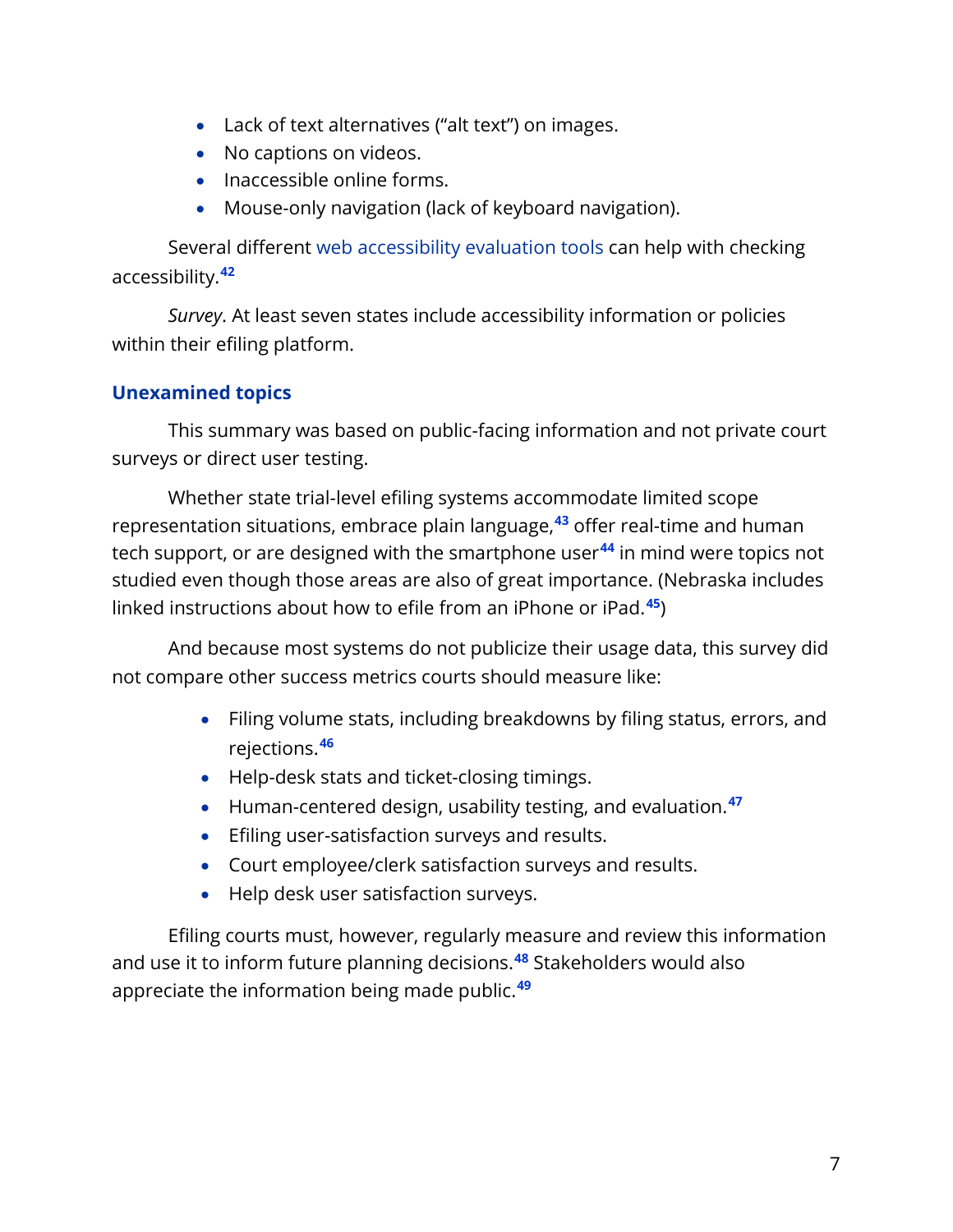- Lack of text alternatives ("alt text") on images.
- No captions on videos.
- Inaccessible online forms.
- Mouse-only navigation (lack of keyboard navigation).

Several different [web accessibility evaluation tools](https://www.w3.org/WAI/ER/tools/) can help with checking accessibility.**[42](#page-16-6)**

*Survey*. At least seven states include accessibility information or policies within their efiling platform.

#### **Unexamined topics**

This summary was based on public-facing information and not private court surveys or direct user testing.

Whether state trial-level efiling systems accommodate limited scope representation situations, embrace plain language, **[43](#page-16-7)** offer real-time and human tech support, or are designed with the smartphone user**[44](#page-16-8)** in mind were topics not studied even though those areas are also of great importance. (Nebraska includes linked instructions about how to efile from an iPhone or iPad.**[45](#page-16-9)**)

And because most systems do not publicize their usage data, this survey did not compare other success metrics courts should measure like:

- Filing volume stats, including breakdowns by filing status, errors, and rejections.**[46](#page-16-10)**
- Help-desk stats and ticket-closing timings.
- Human-centered design, usability testing, and evaluation.**[47](#page-16-11)**
- Efiling user-satisfaction surveys and results.
- Court employee/clerk satisfaction surveys and results.
- Help desk user satisfaction surveys.

Efiling courts must, however, regularly measure and review this information and use it to inform future planning decisions.**[48](#page-17-0)** Stakeholders would also appreciate the information being made public.**[49](#page-17-1)**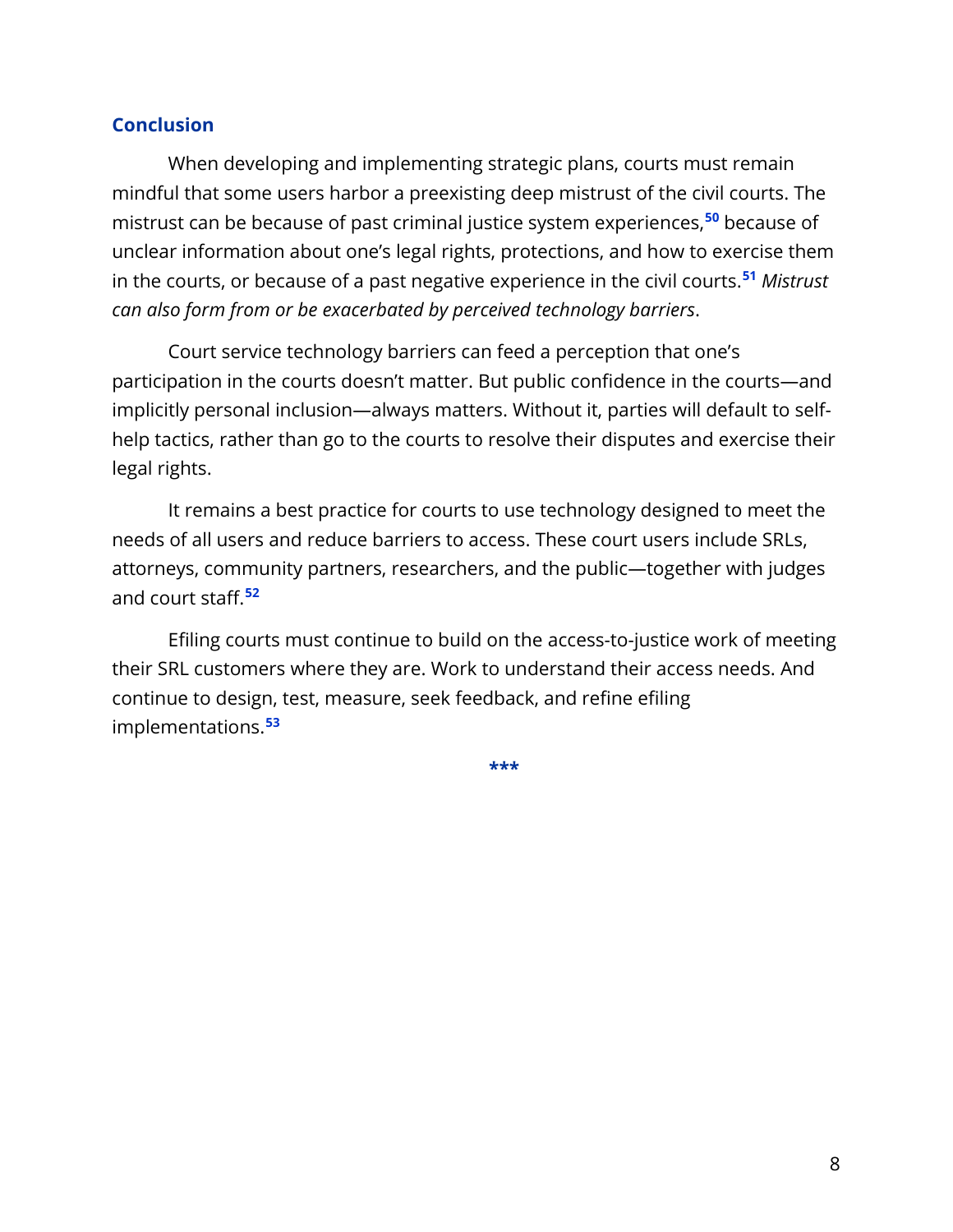#### **Conclusion**

When developing and implementing strategic plans, courts must remain mindful that some users harbor a preexisting deep mistrust of the civil courts. The mistrust can be because of past criminal justice system experiences,**[50](#page-17-2)** because of unclear information about one's legal rights, protections, and how to exercise them in the courts, or because of a past negative experience in the civil courts.**[51](#page-17-3)** *Mistrust can also form from or be exacerbated by perceived technology barriers*.

Court service technology barriers can feed a perception that one's participation in the courts doesn't matter. But public confidence in the courts—and implicitly personal inclusion—always matters. Without it, parties will default to selfhelp tactics, rather than go to the courts to resolve their disputes and exercise their legal rights.

It remains a best practice for courts to use technology designed to meet the needs of all users and reduce barriers to access. These court users include SRLs, attorneys, community partners, researchers, and the public—together with judges and court staff. **[52](#page-17-4)**

Efiling courts must continue to build on the access-to-justice work of meeting their SRL customers where they are. Work to understand their access needs. And continue to design, test, measure, seek feedback, and refine efiling implementations. **[53](#page-17-5)**

**\*\*\***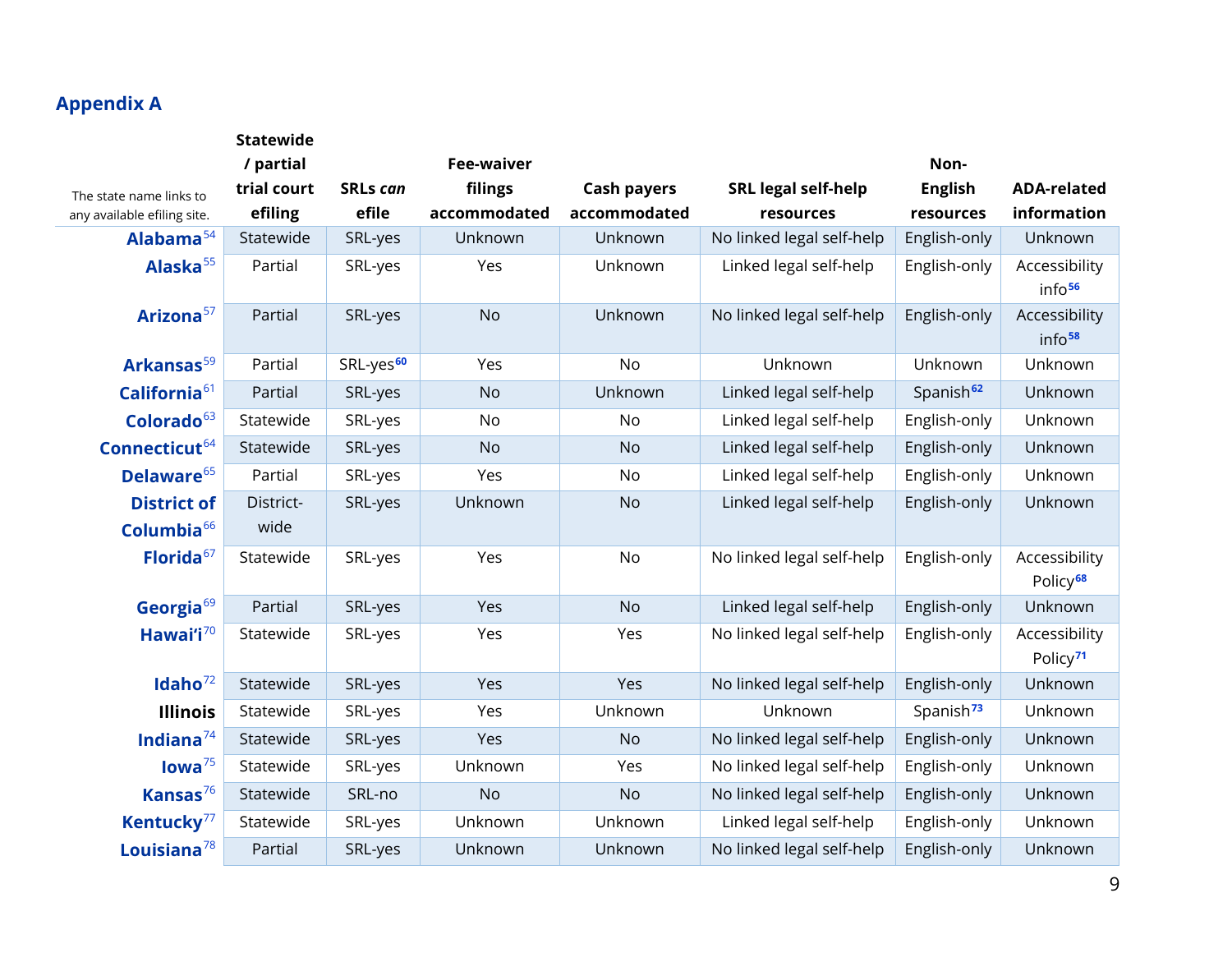# **Appendix A**

|                                              | <b>Statewide</b>  |                       |                   |                    |                            |                       |                                       |
|----------------------------------------------|-------------------|-----------------------|-------------------|--------------------|----------------------------|-----------------------|---------------------------------------|
|                                              | / partial         |                       | <b>Fee-waiver</b> |                    |                            | Non-                  |                                       |
| The state name links to                      | trial court       | <b>SRLs can</b>       | filings           | <b>Cash payers</b> | <b>SRL legal self-help</b> | <b>English</b>        | <b>ADA-related</b>                    |
| any available efiling site.                  | efiling           | efile                 | accommodated      | accommodated       | resources                  | resources             | information                           |
| Alabama <sup>54</sup>                        | Statewide         | SRL-yes               | Unknown           | Unknown            | No linked legal self-help  | English-only          | Unknown                               |
| Alaska <sup>55</sup>                         | Partial           | SRL-yes               | Yes               | Unknown            | Linked legal self-help     | English-only          | Accessibility<br>info <sup>56</sup>   |
| Arizona <sup>57</sup>                        | Partial           | SRL-yes               | <b>No</b>         | Unknown            | No linked legal self-help  | English-only          | Accessibility<br>info <sup>58</sup>   |
| Arkansas <sup>59</sup>                       | Partial           | SRL-yes <sup>60</sup> | Yes               | No                 | Unknown                    | Unknown               | Unknown                               |
| California <sup>61</sup>                     | Partial           | SRL-yes               | <b>No</b>         | Unknown            | Linked legal self-help     | Spanish <sup>62</sup> | Unknown                               |
| Colorado <sup>63</sup>                       | Statewide         | SRL-yes               | No                | No                 | Linked legal self-help     | English-only          | Unknown                               |
| Connecticut <sup>64</sup>                    | Statewide         | SRL-yes               | <b>No</b>         | <b>No</b>          | Linked legal self-help     | English-only          | Unknown                               |
| Delaware <sup>65</sup>                       | Partial           | SRL-yes               | Yes               | No                 | Linked legal self-help     | English-only          | Unknown                               |
| <b>District of</b><br>Columbia <sup>66</sup> | District-<br>wide | SRL-yes               | Unknown           | <b>No</b>          | Linked legal self-help     | English-only          | Unknown                               |
| Florida <sup>67</sup>                        | Statewide         | SRL-yes               | Yes               | No                 | No linked legal self-help  | English-only          | Accessibility<br>Policy <sup>68</sup> |
| Georgia $69$                                 | Partial           | SRL-yes               | Yes               | <b>No</b>          | Linked legal self-help     | English-only          | Unknown                               |
| Hawai'i <sup>70</sup>                        | Statewide         | SRL-yes               | Yes               | Yes                | No linked legal self-help  | English-only          | Accessibility<br>Policy <sup>71</sup> |
| Idaho $^{72}$                                | Statewide         | SRL-yes               | Yes               | Yes                | No linked legal self-help  | English-only          | Unknown                               |
| <b>Illinois</b>                              | Statewide         | SRL-yes               | Yes               | Unknown            | Unknown                    | Spanish <sup>73</sup> | Unknown                               |
| Indiana $^{74}$                              | Statewide         | SRL-yes               | Yes               | <b>No</b>          | No linked legal self-help  | English-only          | Unknown                               |
| Iowa <sup>75</sup>                           | Statewide         | SRL-yes               | Unknown           | Yes                | No linked legal self-help  | English-only          | Unknown                               |
| Kansas $76$                                  | Statewide         | SRL-no                | <b>No</b>         | <b>No</b>          | No linked legal self-help  | English-only          | Unknown                               |
| Kentucky <sup>77</sup>                       | Statewide         | SRL-yes               | Unknown           | Unknown            | Linked legal self-help     | English-only          | Unknown                               |
| Louisiana $^{78}$                            | Partial           | SRL-yes               | Unknown           | Unknown            | No linked legal self-help  | English-only          | Unknown                               |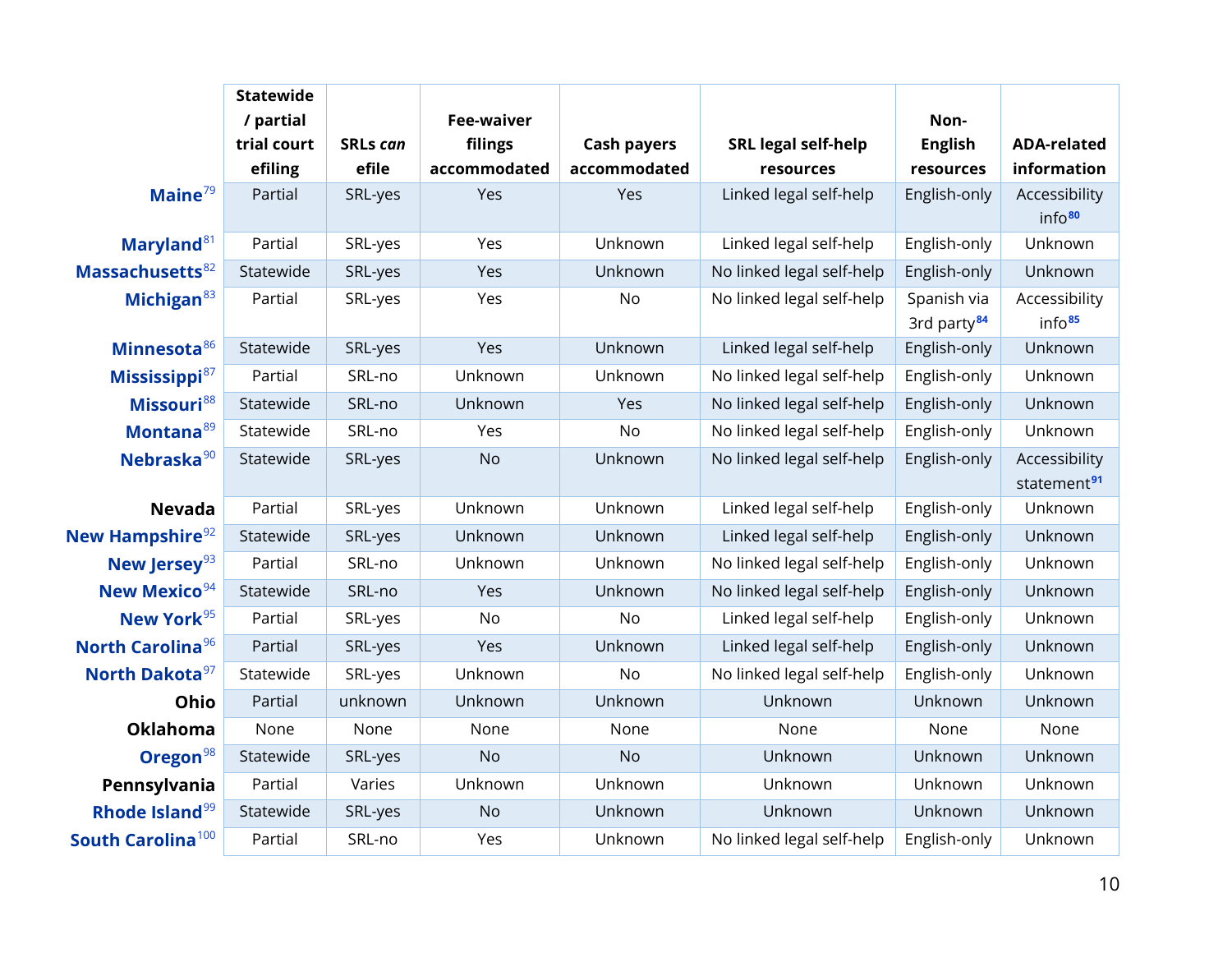|                               | <b>Statewide</b> |                 |                   |                    |                            |                         |                         |
|-------------------------------|------------------|-----------------|-------------------|--------------------|----------------------------|-------------------------|-------------------------|
|                               | / partial        |                 | <b>Fee-waiver</b> |                    |                            | Non-                    |                         |
|                               | trial court      | <b>SRLs can</b> | filings           | <b>Cash payers</b> | <b>SRL legal self-help</b> | <b>English</b>          | <b>ADA-related</b>      |
|                               | efiling          | efile           | accommodated      | accommodated       | resources                  | resources               | information             |
| Maine $79$                    | Partial          | SRL-yes         | Yes               | Yes                | Linked legal self-help     | English-only            | Accessibility           |
|                               |                  |                 |                   |                    |                            |                         | info <sup>80</sup>      |
| Maryland <sup>81</sup>        | Partial          | SRL-yes         | Yes               | Unknown            | Linked legal self-help     | English-only            | Unknown                 |
| Massachusetts <sup>82</sup>   | Statewide        | SRL-yes         | Yes               | Unknown            | No linked legal self-help  | English-only            | Unknown                 |
| Michigan <sup>83</sup>        | Partial          | SRL-yes         | Yes               | No                 | No linked legal self-help  | Spanish via             | Accessibility           |
|                               |                  |                 |                   |                    |                            | 3rd party <sup>84</sup> | info <sup>85</sup>      |
| Minnesota <sup>86</sup>       | Statewide        | SRL-yes         | Yes               | Unknown            | Linked legal self-help     | English-only            | Unknown                 |
| Mississippi <sup>87</sup>     | Partial          | SRL-no          | Unknown           | Unknown            | No linked legal self-help  | English-only            | Unknown                 |
| Missouri <sup>88</sup>        | Statewide        | SRL-no          | Unknown           | Yes                | No linked legal self-help  | English-only            | Unknown                 |
| Montana <sup>89</sup>         | Statewide        | SRL-no          | Yes               | No                 | No linked legal self-help  | English-only            | Unknown                 |
| Nebraska <sup>90</sup>        | Statewide        | SRL-yes         | <b>No</b>         | Unknown            | No linked legal self-help  | English-only            | Accessibility           |
|                               |                  |                 |                   |                    |                            |                         | statement <sup>91</sup> |
| <b>Nevada</b>                 | Partial          | SRL-yes         | Unknown           | Unknown            | Linked legal self-help     | English-only            | Unknown                 |
| New Hampshire <sup>92</sup>   | Statewide        | SRL-yes         | Unknown           | Unknown            | Linked legal self-help     | English-only            | Unknown                 |
| New Jersey <sup>93</sup>      | Partial          | SRL-no          | Unknown           | Unknown            | No linked legal self-help  | English-only            | Unknown                 |
| New Mexico <sup>94</sup>      | Statewide        | SRL-no          | Yes               | Unknown            | No linked legal self-help  | English-only            | Unknown                 |
| New York <sup>95</sup>        | Partial          | SRL-yes         | No                | <b>No</b>          | Linked legal self-help     | English-only            | Unknown                 |
| North Carolina <sup>96</sup>  | Partial          | SRL-yes         | Yes               | Unknown            | Linked legal self-help     | English-only            | Unknown                 |
| North Dakota <sup>97</sup>    | Statewide        | SRL-yes         | Unknown           | <b>No</b>          | No linked legal self-help  | English-only            | Unknown                 |
| Ohio                          | Partial          | unknown         | Unknown           | Unknown            | Unknown                    | Unknown                 | Unknown                 |
| Oklahoma                      | None             | None            | None              | None               | None                       | None                    | None                    |
| Oregon <sup>98</sup>          | Statewide        | SRL-yes         | <b>No</b>         | <b>No</b>          | Unknown                    | Unknown                 | Unknown                 |
| Pennsylvania                  | Partial          | Varies          | Unknown           | Unknown            | Unknown                    | Unknown                 | Unknown                 |
| Rhode Island <sup>99</sup>    | Statewide        | SRL-yes         | <b>No</b>         | Unknown            | Unknown                    | Unknown                 | Unknown                 |
| South Carolina <sup>100</sup> | Partial          | SRL-no          | Yes               | Unknown            | No linked legal self-help  | English-only            | Unknown                 |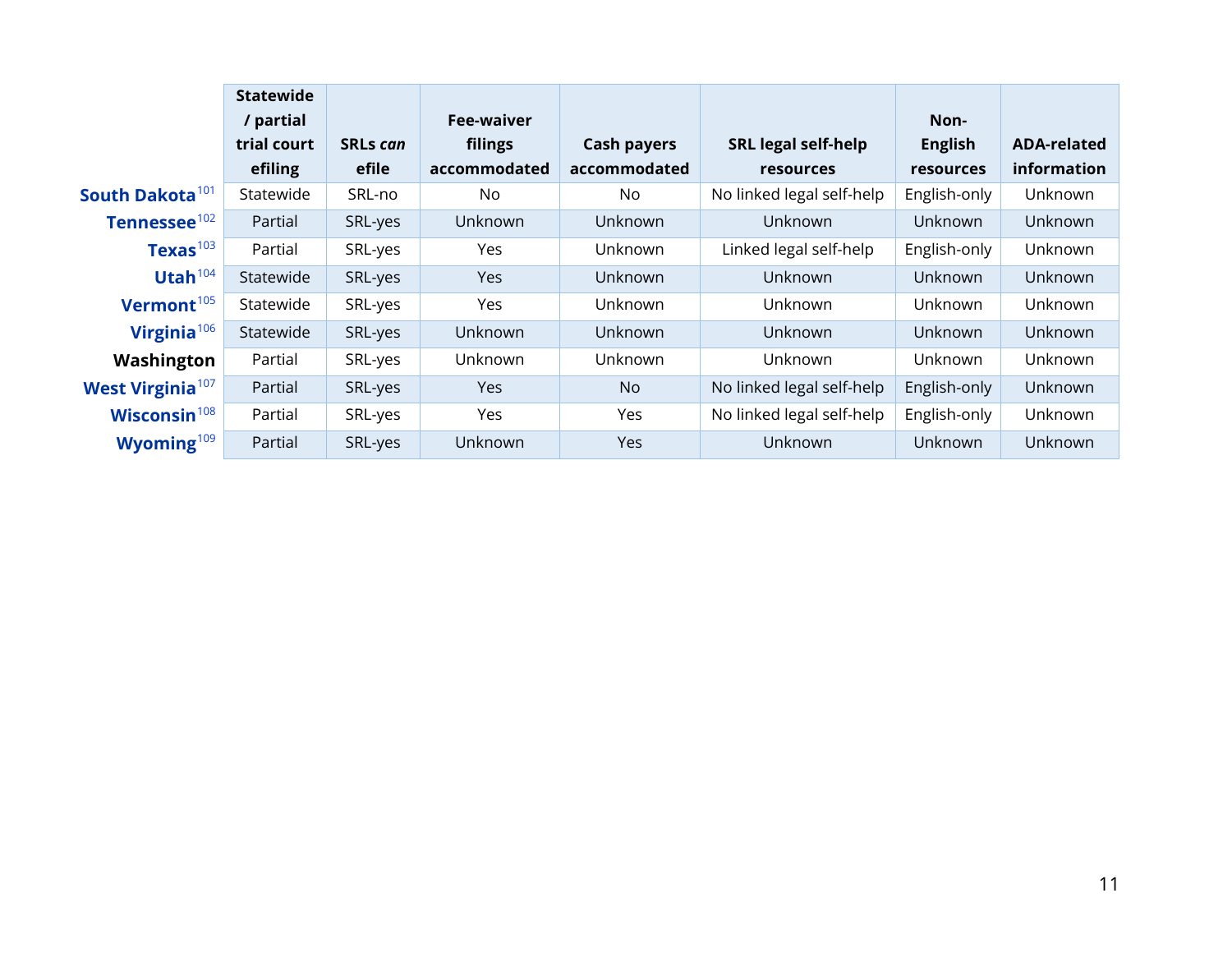|                              | <b>Statewide</b> |                 |              |                    |                            |                  |                    |
|------------------------------|------------------|-----------------|--------------|--------------------|----------------------------|------------------|--------------------|
|                              | / partial        |                 | Fee-waiver   |                    |                            | Non-             |                    |
|                              | trial court      | <b>SRLs can</b> | filings      | <b>Cash payers</b> | <b>SRL legal self-help</b> | <b>English</b>   | <b>ADA-related</b> |
|                              | efiling          | efile           | accommodated | accommodated       | <b>resources</b>           | <b>resources</b> | information        |
| South Dakota <sup>101</sup>  | Statewide        | SRL-no          | No.          | No                 | No linked legal self-help  | English-only     | Unknown            |
| Tennessee <sup>102</sup>     | Partial          | SRL-yes         | Unknown      | Unknown            | Unknown                    | Unknown          | Unknown            |
| Texas $^{103}$               | Partial          | SRL-yes         | Yes          | Unknown            | Linked legal self-help     | English-only     | Unknown            |
| Utah $104$                   | Statewide        | SRL-yes         | Yes          | Unknown            | Unknown                    | Unknown          | Unknown            |
| Vermont <sup>105</sup>       | Statewide        | SRL-yes         | Yes          | Unknown            | Unknown                    | Unknown          | <b>Unknown</b>     |
| Virginia <sup>106</sup>      | Statewide        | SRL-yes         | Unknown      | Unknown            | Unknown                    | Unknown          | Unknown            |
| Washington                   | Partial          | SRL-yes         | Unknown      | Unknown            | Unknown                    | Unknown          | Unknown            |
| West Virginia <sup>107</sup> | Partial          | SRL-yes         | Yes          | <b>No</b>          | No linked legal self-help  | English-only     | Unknown            |
| Wisconsin <sup>108</sup>     | Partial          | SRL-yes         | Yes          | Yes                | No linked legal self-help  | English-only     | Unknown            |
| Wyoming $109$                | Partial          | SRL-yes         | Unknown      | <b>Yes</b>         | Unknown                    | Unknown          | Unknown            |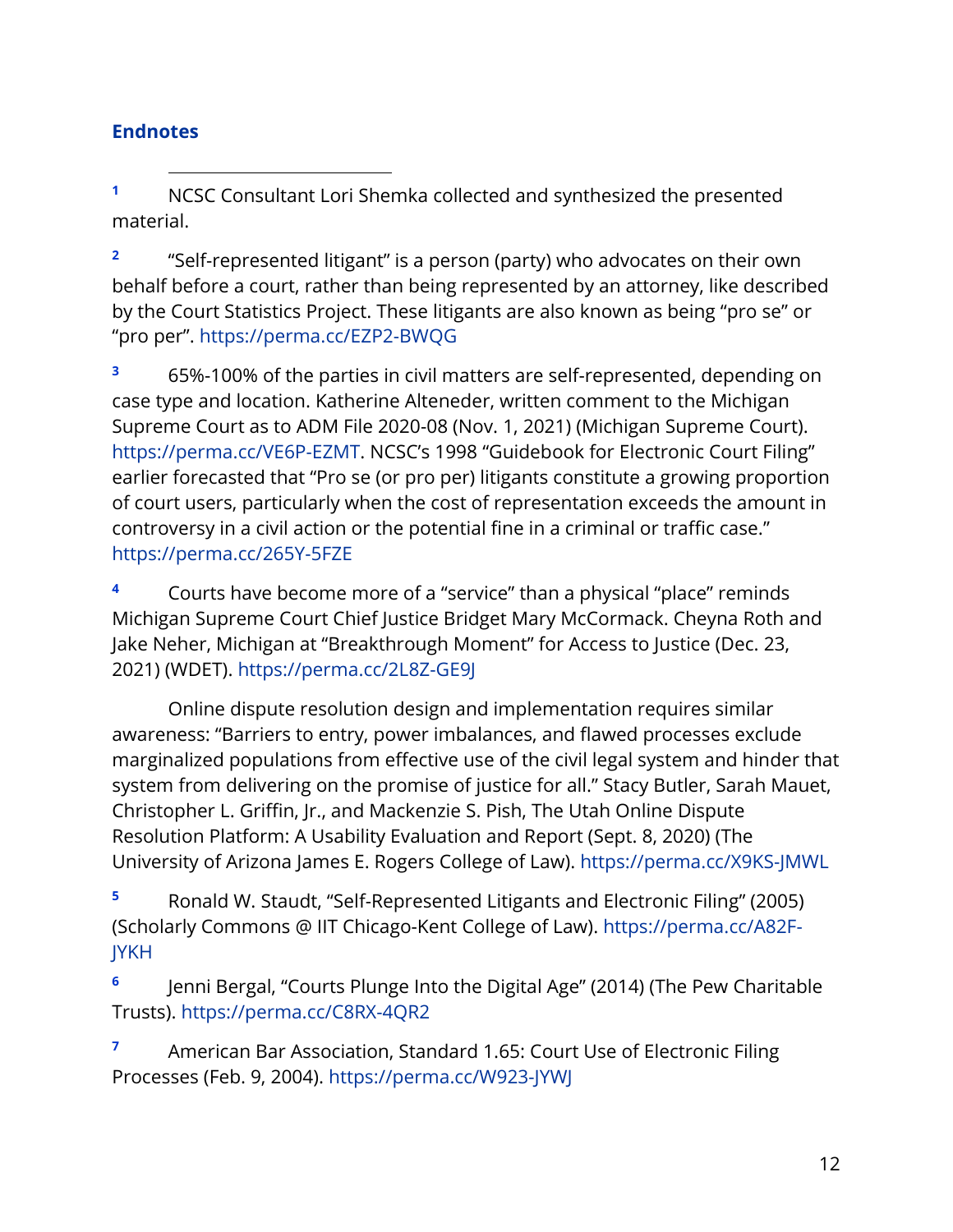# **Endnotes**

<span id="page-12-0"></span>**<sup>1</sup>** NCSC Consultant Lori Shemka collected and synthesized the presented material.

<span id="page-12-1"></span>**<sup>2</sup>** "Self-represented litigant" is a person (party) who advocates on their own behalf before a court, rather than being represented by an attorney, like described by the Court Statistics Project. These litigants are also known as being "pro se" or "pro per". <https://perma.cc/EZP2-BWQG>

<span id="page-12-2"></span>**<sup>3</sup>** 65%-100% of the parties in civil matters are self-represented, depending on case type and location. Katherine Alteneder, written comment to the Michigan Supreme Court as to ADM File 2020-08 (Nov. 1, 2021) (Michigan Supreme Court). [https://perma.cc/VE6P-EZMT.](https://perma.cc/VE6P-EZMT) NCSC's 1998 "Guidebook for Electronic Court Filing" earlier forecasted that "Pro se (or pro per) litigants constitute a growing proportion of court users, particularly when the cost of representation exceeds the amount in controversy in a civil action or the potential fine in a criminal or traffic case." <https://perma.cc/265Y-5FZE>

<span id="page-12-3"></span>**<sup>4</sup>** Courts have become more of a "service" than a physical "place" reminds Michigan Supreme Court Chief Justice Bridget Mary McCormack. Cheyna Roth and Jake Neher, Michigan at "Breakthrough Moment" for Access to Justice (Dec. 23, 2021) (WDET). <https://perma.cc/2L8Z-GE9J>

Online dispute resolution design and implementation requires similar awareness: "Barriers to entry, power imbalances, and flawed processes exclude marginalized populations from effective use of the civil legal system and hinder that system from delivering on the promise of justice for all." Stacy Butler, Sarah Mauet, Christopher L. Griffin, Jr., and Mackenzie S. Pish, The Utah Online Dispute Resolution Platform: A Usability Evaluation and Report (Sept. 8, 2020) (The University of Arizona James E. Rogers College of Law). <https://perma.cc/X9KS-JMWL>

<span id="page-12-4"></span>**<sup>5</sup>** Ronald W. Staudt, "Self-Represented Litigants and Electronic Filing" (2005) (Scholarly Commons @ IIT Chicago-Kent College of Law). [https://perma.cc/A82F-](https://perma.cc/A82F-JYKH)[JYKH](https://perma.cc/A82F-JYKH)

<span id="page-12-5"></span>**<sup>6</sup>** Jenni Bergal, "Courts Plunge Into the Digital Age" (2014) (The Pew Charitable Trusts).<https://perma.cc/C8RX-4QR2>

<span id="page-12-6"></span>**<sup>7</sup>** American Bar Association, Standard 1.65: Court Use of Electronic Filing Processes (Feb. 9, 2004). <https://perma.cc/W923-JYWJ>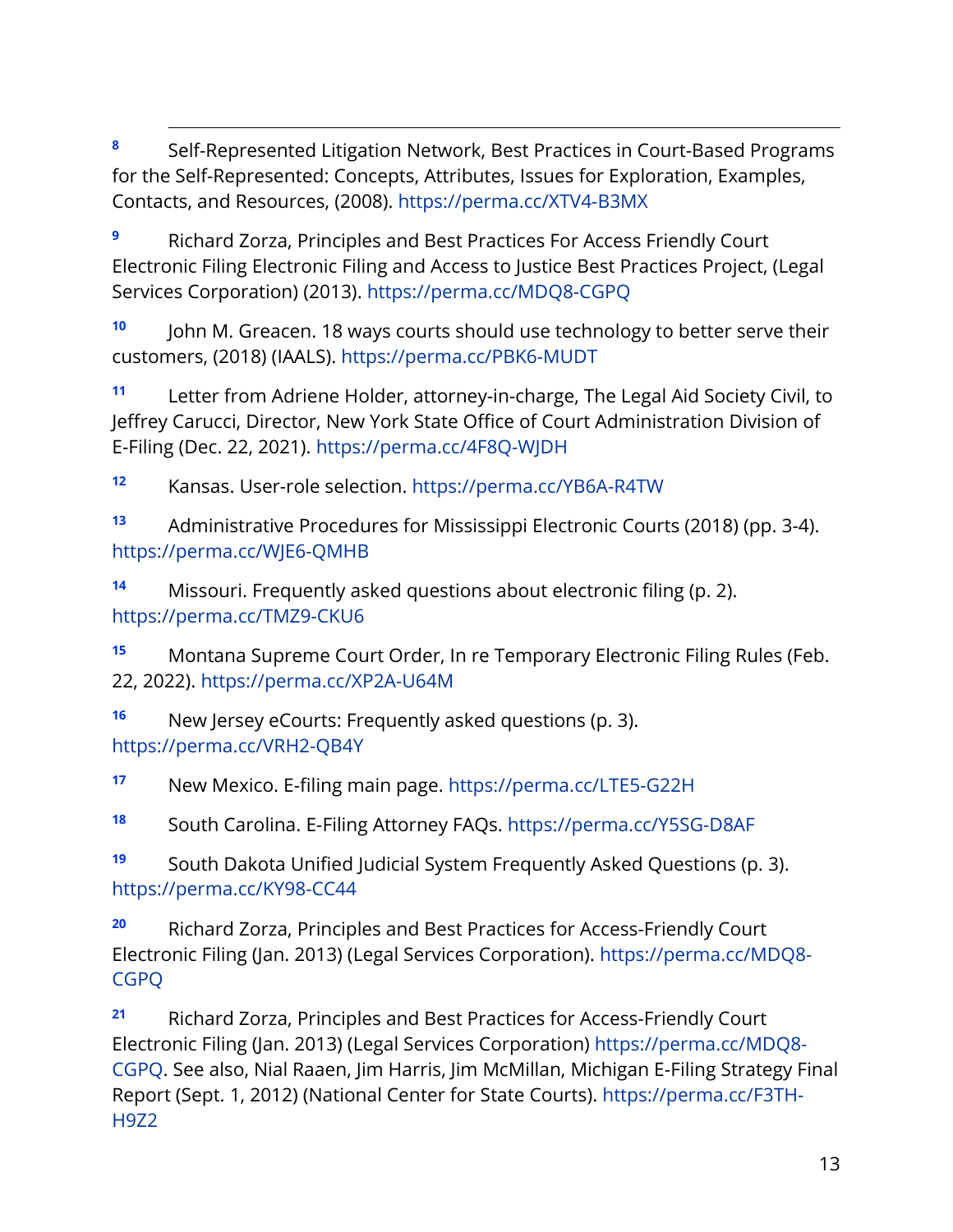<span id="page-13-0"></span>**<sup>8</sup>** Self-Represented Litigation Network, Best Practices in Court-Based Programs for the Self-Represented: Concepts, Attributes, Issues for Exploration, Examples, Contacts, and Resources, (2008). <https://perma.cc/XTV4-B3MX>

<span id="page-13-1"></span>**<sup>9</sup>** Richard Zorza, Principles and Best Practices For Access Friendly Court Electronic Filing Electronic Filing and Access to Justice Best Practices Project, (Legal Services Corporation) (2013). <https://perma.cc/MDQ8-CGPQ>

<span id="page-13-2"></span>**<sup>10</sup>** John M. Greacen. 18 ways courts should use technology to better serve their customers, (2018) (IAALS). <https://perma.cc/PBK6-MUDT>

<span id="page-13-3"></span>**<sup>11</sup>** Letter from Adriene Holder, attorney-in-charge, The Legal Aid Society Civil, to Jeffrey Carucci, Director, New York State Office of Court Administration Division of E-Filing (Dec. 22, 2021).<https://perma.cc/4F8Q-WJDH>

<span id="page-13-4"></span>**<sup>12</sup>** Kansas. User-role selection.<https://perma.cc/YB6A-R4TW>

<span id="page-13-5"></span>**<sup>13</sup>** Administrative Procedures for Mississippi Electronic Courts (2018) (pp. 3-4). <https://perma.cc/WJE6-QMHB>

<span id="page-13-6"></span>**<sup>14</sup>** Missouri. Frequently asked questions about electronic filing (p. 2). <https://perma.cc/TMZ9-CKU6>

<span id="page-13-7"></span>**<sup>15</sup>** Montana Supreme Court Order, In re Temporary Electronic Filing Rules (Feb. 22, 2022).<https://perma.cc/XP2A-U64M>

<span id="page-13-8"></span>**<sup>16</sup>** New Jersey eCourts: Frequently asked questions (p. 3). <https://perma.cc/VRH2-QB4Y>

<span id="page-13-9"></span>**<sup>17</sup>** New Mexico. E-filing main page.<https://perma.cc/LTE5-G22H>

<span id="page-13-10"></span>**<sup>18</sup>** South Carolina. E-Filing Attorney FAQs.<https://perma.cc/Y5SG-D8AF>

<span id="page-13-11"></span>**<sup>19</sup>** South Dakota Unified Judicial System Frequently Asked Questions (p. 3). <https://perma.cc/KY98-CC44>

<span id="page-13-12"></span>**<sup>20</sup>** Richard Zorza, Principles and Best Practices for Access-Friendly Court Electronic Filing (Jan. 2013) (Legal Services Corporation). [https://perma.cc/MDQ8-](https://perma.cc/MDQ8-CGPQ) [CGPQ](https://perma.cc/MDQ8-CGPQ)

<span id="page-13-13"></span>**<sup>21</sup>** Richard Zorza, Principles and Best Practices for Access-Friendly Court Electronic Filing (Jan. 2013) (Legal Services Corporation) [https://perma.cc/MDQ8-](https://perma.cc/MDQ8-CGPQ) [CGPQ.](https://perma.cc/MDQ8-CGPQ) See also, Nial Raaen, Jim Harris, Jim McMillan, Michigan E-Filing Strategy Final Report (Sept. 1, 2012) (National Center for State Courts). [https://perma.cc/F3TH-](https://perma.cc/F3TH-H9Z2)[H9Z2](https://perma.cc/F3TH-H9Z2)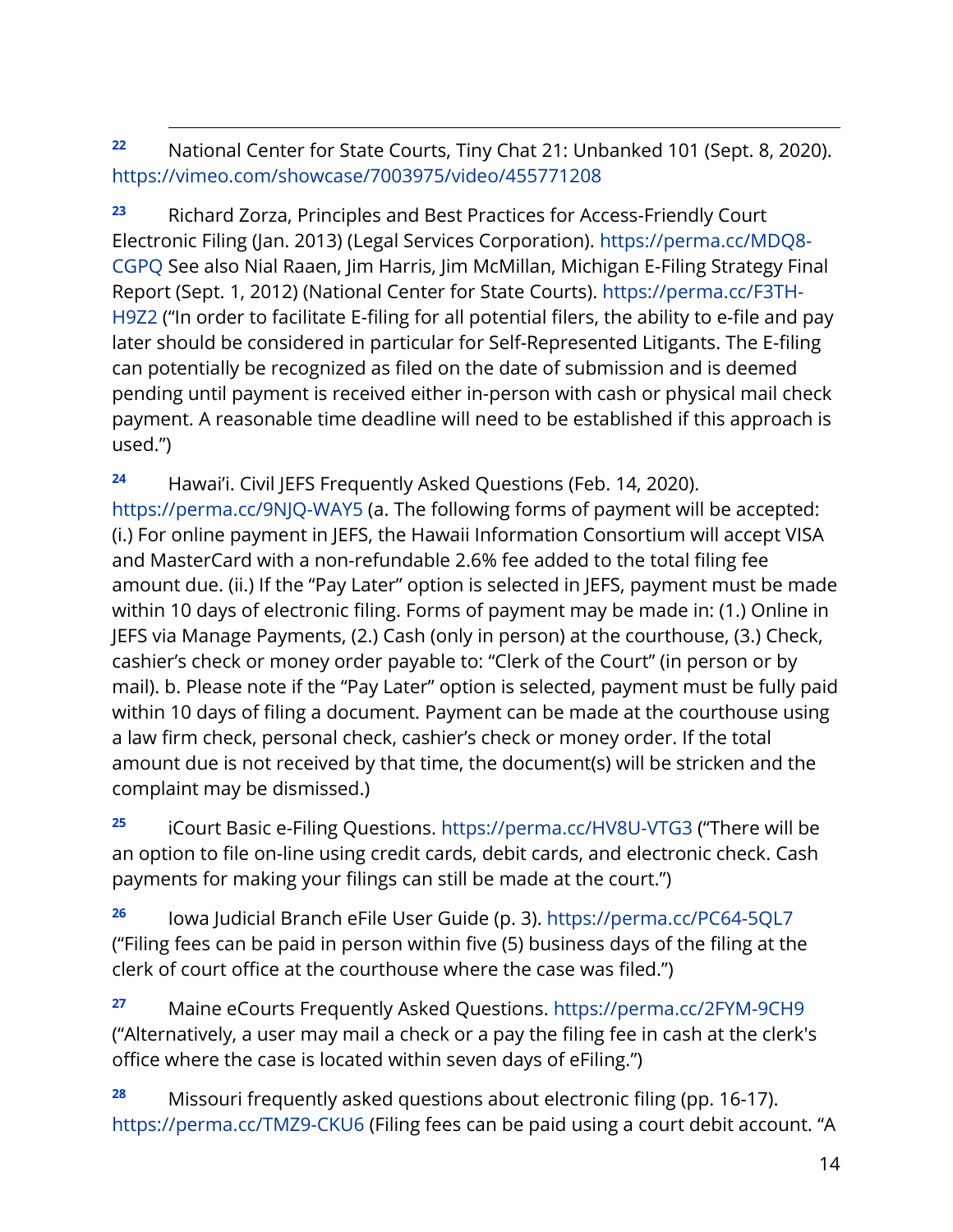# <span id="page-14-0"></span>**<sup>22</sup>** National Center for State Courts, Tiny Chat 21: Unbanked 101 (Sept. 8, 2020). <https://vimeo.com/showcase/7003975/video/455771208>

<span id="page-14-1"></span>**<sup>23</sup>** Richard Zorza, Principles and Best Practices for Access-Friendly Court Electronic Filing (Jan. 2013) (Legal Services Corporation). [https://perma.cc/MDQ8-](https://perma.cc/MDQ8-CGPQ) [CGPQ](https://perma.cc/MDQ8-CGPQ) See also Nial Raaen, Jim Harris, Jim McMillan, Michigan E-Filing Strategy Final Report (Sept. 1, 2012) (National Center for State Courts). [https://perma.cc/F3TH-](https://perma.cc/F3TH-H9Z2)[H9Z2](https://perma.cc/F3TH-H9Z2) ("In order to facilitate E-filing for all potential filers, the ability to e-file and pay later should be considered in particular for Self-Represented Litigants. The E-filing can potentially be recognized as filed on the date of submission and is deemed pending until payment is received either in-person with cash or physical mail check payment. A reasonable time deadline will need to be established if this approach is used.")

**<sup>24</sup>** Hawai'i. Civil JEFS Frequently Asked Questions (Feb. 14, 2020). <https://perma.cc/9NJQ-WAY5> (a. The following forms of payment will be accepted: (i.) For online payment in JEFS, the Hawaii Information Consortium will accept VISA and MasterCard with a non-refundable 2.6% fee added to the total filing fee amount due. (ii.) If the "Pay Later" option is selected in JEFS, payment must be made within 10 days of electronic filing. Forms of payment may be made in: (1.) Online in JEFS via Manage Payments, (2.) Cash (only in person) at the courthouse, (3.) Check, cashier's check or money order payable to: "Clerk of the Court" (in person or by mail). b. Please note if the "Pay Later" option is selected, payment must be fully paid within 10 days of filing a document. Payment can be made at the courthouse using a law firm check, personal check, cashier's check or money order. If the total amount due is not received by that time, the document(s) will be stricken and the complaint may be dismissed.)

**<sup>25</sup>** iCourt Basic e-Filing Questions.<https://perma.cc/HV8U-VTG3> ("There will be an option to file on-line using credit cards, debit cards, and electronic check. Cash payments for making your filings can still be made at the court.")

**<sup>26</sup>** Iowa Judicial Branch eFile User Guide (p. 3).<https://perma.cc/PC64-5QL7> ("Filing fees can be paid in person within five (5) business days of the filing at the clerk of court office at the courthouse where the case was filed.")

**<sup>27</sup>** Maine eCourts Frequently Asked Questions.<https://perma.cc/2FYM-9CH9> ("Alternatively, a user may mail a check or a pay the filing fee in cash at the clerk's office where the case is located within seven days of eFiling.")

**<sup>28</sup>** Missouri frequently asked questions about electronic filing (pp. 16-17). <https://perma.cc/TMZ9-CKU6> (Filing fees can be paid using a court debit account. "A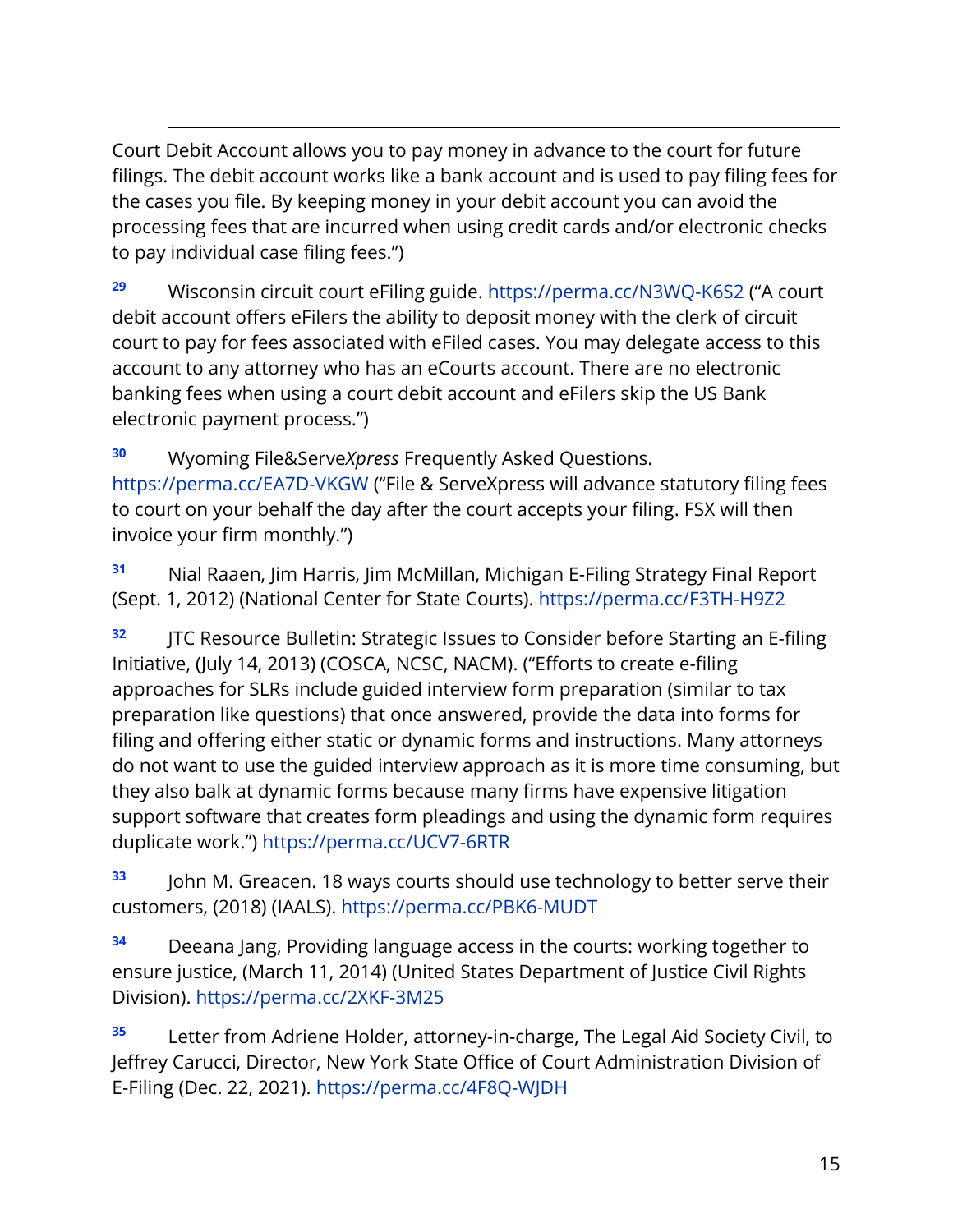Court Debit Account allows you to pay money in advance to the court for future filings. The debit account works like a bank account and is used to pay filing fees for the cases you file. By keeping money in your debit account you can avoid the processing fees that are incurred when using credit cards and/or electronic checks to pay individual case filing fees.")

**<sup>29</sup>** Wisconsin circuit court eFiling guide.<https://perma.cc/N3WQ-K6S2> ("A court debit account offers eFilers the ability to deposit money with the clerk of circuit court to pay for fees associated with eFiled cases. You may delegate access to this account to any attorney who has an eCourts account. There are no electronic banking fees when using a court debit account and eFilers skip the US Bank electronic payment process.")

**<sup>30</sup>** Wyoming File&Serve*Xpress* Frequently Asked Questions. <https://perma.cc/EA7D-VKGW> ("File & ServeXpress will advance statutory filing fees to court on your behalf the day after the court accepts your filing. FSX will then invoice your firm monthly.")

<span id="page-15-0"></span>**<sup>31</sup>** Nial Raaen, Jim Harris, Jim McMillan, Michigan E-Filing Strategy Final Report (Sept. 1, 2012) (National Center for State Courts). <https://perma.cc/F3TH-H9Z2>

<span id="page-15-1"></span>**<sup>32</sup>** JTC Resource Bulletin: Strategic Issues to Consider before Starting an E-filing Initiative, (July 14, 2013) (COSCA, NCSC, NACM). ("Efforts to create e-filing approaches for SLRs include guided interview form preparation (similar to tax preparation like questions) that once answered, provide the data into forms for filing and offering either static or dynamic forms and instructions. Many attorneys do not want to use the guided interview approach as it is more time consuming, but they also balk at dynamic forms because many firms have expensive litigation support software that creates form pleadings and using the dynamic form requires duplicate work.") <https://perma.cc/UCV7-6RTR>

<span id="page-15-2"></span>**<sup>33</sup>** John M. Greacen. 18 ways courts should use technology to better serve their customers, (2018) (IAALS).<https://perma.cc/PBK6-MUDT>

<span id="page-15-3"></span>**<sup>34</sup>** Deeana Jang, Providing language access in the courts: working together to ensure justice, (March 11, 2014) (United States Department of Justice Civil Rights Division). <https://perma.cc/2XKF-3M25>

<span id="page-15-4"></span>**<sup>35</sup>** Letter from Adriene Holder, attorney-in-charge, The Legal Aid Society Civil, to Jeffrey Carucci, Director, New York State Office of Court Administration Division of E-Filing (Dec. 22, 2021).<https://perma.cc/4F8Q-WJDH>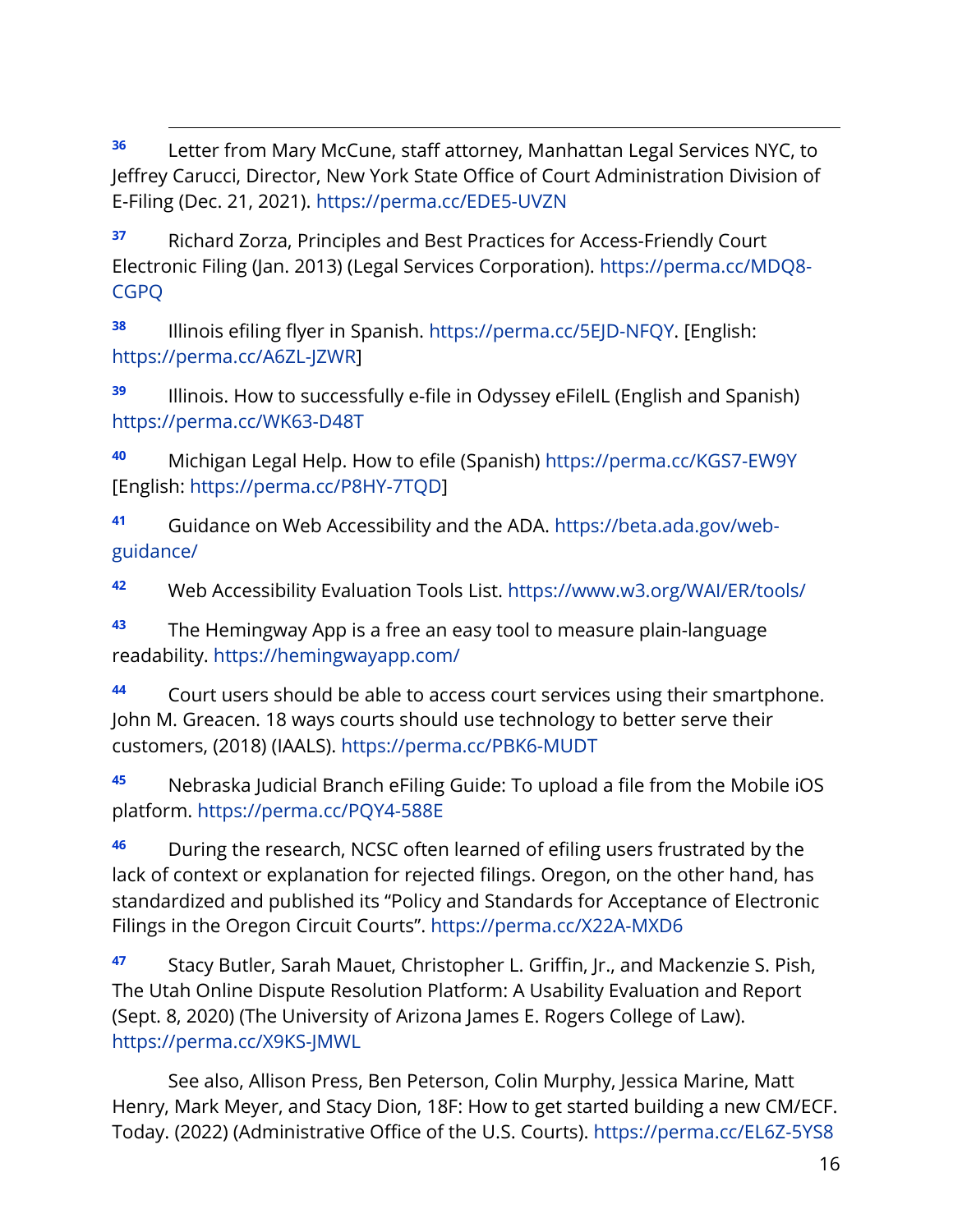<span id="page-16-0"></span>**<sup>36</sup>** Letter from Mary McCune, staff attorney, Manhattan Legal Services NYC, to Jeffrey Carucci, Director, New York State Office of Court Administration Division of E-Filing (Dec. 21, 2021).<https://perma.cc/EDE5-UVZN>

<span id="page-16-1"></span>**<sup>37</sup>** Richard Zorza, Principles and Best Practices for Access-Friendly Court Electronic Filing (Jan. 2013) (Legal Services Corporation). [https://perma.cc/MDQ8-](https://perma.cc/MDQ8-CGPQ) [CGPQ](https://perma.cc/MDQ8-CGPQ)

<span id="page-16-2"></span>**<sup>38</sup>** Illinois efiling flyer in Spanish. [https://perma.cc/5EJD-NFQY.](https://perma.cc/5EJD-NFQY) [English: [https://perma.cc/A6ZL-JZWR\]](https://perma.cc/A6ZL-JZWR)

<span id="page-16-3"></span>**<sup>39</sup>** Illinois. How to successfully e-file in Odyssey eFileIL (English and Spanish) <https://perma.cc/WK63-D48T>

<span id="page-16-4"></span>**<sup>40</sup>** Michigan Legal Help. How to efile (Spanish)<https://perma.cc/KGS7-EW9Y> [English: [https://perma.cc/P8HY-7TQD\]](https://perma.cc/P8HY-7TQD)

<span id="page-16-5"></span>**<sup>41</sup>** Guidance on Web Accessibility and the ADA. [https://beta.ada.gov/web](https://beta.ada.gov/web-guidance/)[guidance/](https://beta.ada.gov/web-guidance/)

<span id="page-16-6"></span>**<sup>42</sup>** Web Accessibility Evaluation Tools List.<https://www.w3.org/WAI/ER/tools/>

<span id="page-16-7"></span>**<sup>43</sup>** The Hemingway App is a free an easy tool to measure plain-language readability.<https://hemingwayapp.com/>

<span id="page-16-8"></span>**<sup>44</sup>** Court users should be able to access court services using their smartphone. John M. Greacen. 18 ways courts should use technology to better serve their customers, (2018) (IAALS).<https://perma.cc/PBK6-MUDT>

<span id="page-16-9"></span>**<sup>45</sup>** Nebraska Judicial Branch eFiling Guide: To upload a file from the Mobile iOS platform.<https://perma.cc/PQY4-588E>

<span id="page-16-10"></span>**<sup>46</sup>** During the research, NCSC often learned of efiling users frustrated by the lack of context or explanation for rejected filings. Oregon, on the other hand, has standardized and published its "Policy and Standards for Acceptance of Electronic Filings in the Oregon Circuit Courts". <https://perma.cc/X22A-MXD6>

<span id="page-16-11"></span>**<sup>47</sup>** Stacy Butler, Sarah Mauet, Christopher L. Griffin, Jr., and Mackenzie S. Pish, The Utah Online Dispute Resolution Platform: A Usability Evaluation and Report (Sept. 8, 2020) (The University of Arizona James E. Rogers College of Law). <https://perma.cc/X9KS-JMWL>

See also, Allison Press, Ben Peterson, Colin Murphy, Jessica Marine, Matt Henry, Mark Meyer, and Stacy Dion, 18F: How to get started building a new CM/ECF. Today. (2022) (Administrative Office of the U.S. Courts). <https://perma.cc/EL6Z-5YS8>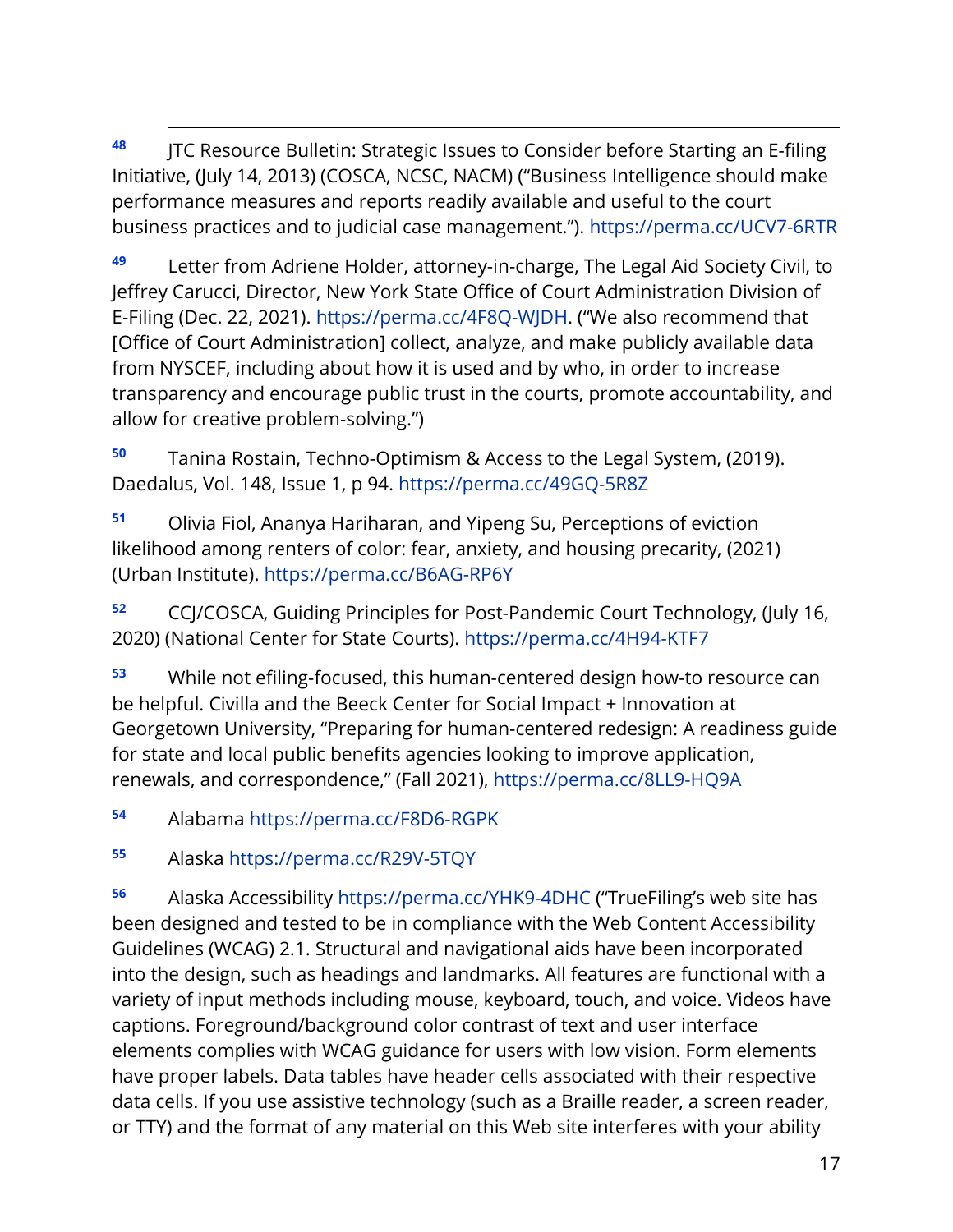<span id="page-17-8"></span><span id="page-17-7"></span><span id="page-17-6"></span><span id="page-17-0"></span>**<sup>48</sup>** JTC Resource Bulletin: Strategic Issues to Consider before Starting an E-filing Initiative, (July 14, 2013) (COSCA, NCSC, NACM) ("Business Intelligence should make performance measures and reports readily available and useful to the court business practices and to judicial case management."). <https://perma.cc/UCV7-6RTR>

<span id="page-17-1"></span>**<sup>49</sup>** Letter from Adriene Holder, attorney-in-charge, The Legal Aid Society Civil, to Jeffrey Carucci, Director, New York State Office of Court Administration Division of E-Filing (Dec. 22, 2021). [https://perma.cc/4F8Q-WJDH.](https://perma.cc/4F8Q-WJDH) ("We also recommend that [Office of Court Administration] collect, analyze, and make publicly available data from NYSCEF, including about how it is used and by who, in order to increase transparency and encourage public trust in the courts, promote accountability, and allow for creative problem-solving.")

<span id="page-17-2"></span>**<sup>50</sup>** Tanina Rostain, Techno-Optimism & Access to the Legal System, (2019). Daedalus, Vol. 148, Issue 1, p 94.<https://perma.cc/49GQ-5R8Z>

<span id="page-17-3"></span>**<sup>51</sup>** Olivia Fiol, Ananya Hariharan, and Yipeng Su, Perceptions of eviction likelihood among renters of color: fear, anxiety, and housing precarity, (2021) (Urban Institute). <https://perma.cc/B6AG-RP6Y>

<span id="page-17-4"></span>**<sup>52</sup>** CCJ/COSCA, Guiding Principles for Post-Pandemic Court Technology, (July 16, 2020) (National Center for State Courts). <https://perma.cc/4H94-KTF7>

<span id="page-17-5"></span>**<sup>53</sup>** While not efiling-focused, this human-centered design how-to resource can be helpful. Civilla and the Beeck Center for Social Impact + Innovation at Georgetown University, "Preparing for human-centered redesign: A readiness guide for state and local public benefits agencies looking to improve application, renewals, and correspondence," (Fall 2021),<https://perma.cc/8LL9-HQ9A>

**<sup>54</sup>** Alabama<https://perma.cc/F8D6-RGPK>

**<sup>55</sup>** Alaska<https://perma.cc/R29V-5TQY>

**<sup>56</sup>** Alaska Accessibility<https://perma.cc/YHK9-4DHC> ("TrueFiling's web site has been designed and tested to be in compliance with the Web Content Accessibility Guidelines (WCAG) 2.1. Structural and navigational aids have been incorporated into the design, such as headings and landmarks. All features are functional with a variety of input methods including mouse, keyboard, touch, and voice. Videos have captions. Foreground/background color contrast of text and user interface elements complies with WCAG guidance for users with low vision. Form elements have proper labels. Data tables have header cells associated with their respective data cells. If you use assistive technology (such as a Braille reader, a screen reader, or TTY) and the format of any material on this Web site interferes with your ability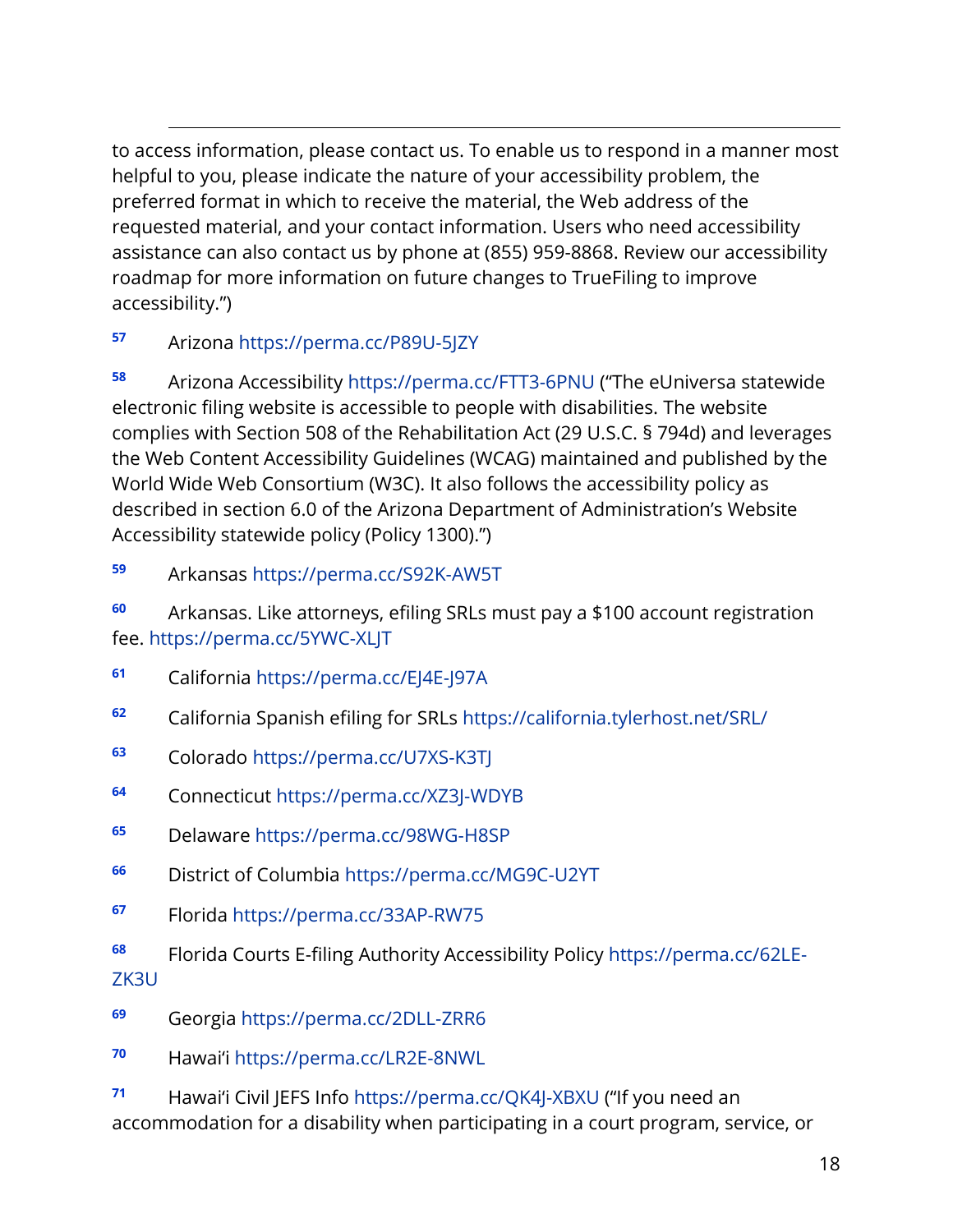<span id="page-18-14"></span><span id="page-18-13"></span><span id="page-18-12"></span><span id="page-18-11"></span><span id="page-18-10"></span><span id="page-18-9"></span><span id="page-18-8"></span><span id="page-18-7"></span><span id="page-18-6"></span><span id="page-18-5"></span><span id="page-18-4"></span><span id="page-18-3"></span><span id="page-18-2"></span><span id="page-18-1"></span><span id="page-18-0"></span>to access information, please contact us. To enable us to respond in a manner most helpful to you, please indicate the nature of your accessibility problem, the preferred format in which to receive the material, the Web address of the requested material, and your contact information. Users who need accessibility assistance can also contact us by phone at (855) 959-8868. Review our accessibility roadmap for more information on future changes to TrueFiling to improve accessibility.")

# **<sup>57</sup>** Arizona<https://perma.cc/P89U-5JZY>

**<sup>58</sup>** Arizona Accessibility<https://perma.cc/FTT3-6PNU> ("The eUniversa statewide electronic filing website is accessible to people with disabilities. The website complies with Section 508 of the Rehabilitation Act (29 U.S.C. § 794d) and leverages the Web Content Accessibility Guidelines (WCAG) maintained and published by the World Wide Web Consortium (W3C). It also follows the accessibility policy as described in section 6.0 of the Arizona Department of Administration's Website Accessibility statewide policy (Policy 1300).")

#### **<sup>59</sup>** Arkansas<https://perma.cc/S92K-AW5T>

**<sup>60</sup>** Arkansas. Like attorneys, efiling SRLs must pay a \$100 account registration fee.<https://perma.cc/5YWC-XLJT>

- **<sup>61</sup>** California<https://perma.cc/EJ4E-J97A>
- **<sup>62</sup>** California Spanish efiling for SRLs<https://california.tylerhost.net/SRL/>
- **<sup>63</sup>** Colorado<https://perma.cc/U7XS-K3TJ>
- **<sup>64</sup>** Connecticut<https://perma.cc/XZ3J-WDYB>
- **<sup>65</sup>** Delaware<https://perma.cc/98WG-H8SP>
- **<sup>66</sup>** District of Columbia<https://perma.cc/MG9C-U2YT>
- **<sup>67</sup>** Florida<https://perma.cc/33AP-RW75>
- **<sup>68</sup>** Florida Courts E-filing Authority Accessibility Policy [https://perma.cc/62LE-](https://perma.cc/62LE-ZK3U)[ZK3U](https://perma.cc/62LE-ZK3U)
- **<sup>69</sup>** Georgia<https://perma.cc/2DLL-ZRR6>
- **<sup>70</sup>** Hawai'i<https://perma.cc/LR2E-8NWL>

**<sup>71</sup>** Hawai'i Civil JEFS Info<https://perma.cc/QK4J-XBXU> ("If you need an accommodation for a disability when participating in a court program, service, or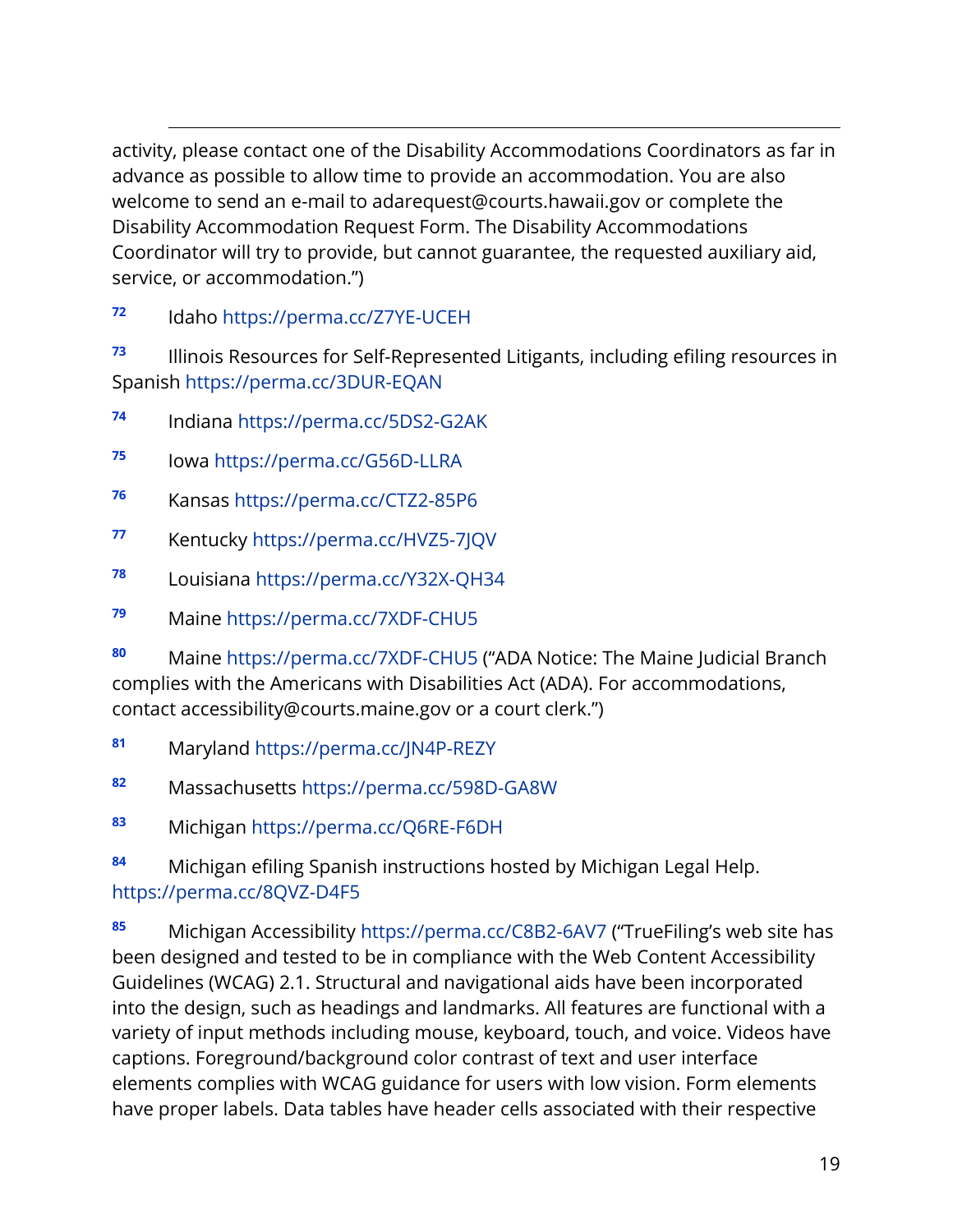<span id="page-19-13"></span><span id="page-19-12"></span><span id="page-19-11"></span><span id="page-19-10"></span><span id="page-19-9"></span><span id="page-19-8"></span><span id="page-19-7"></span><span id="page-19-6"></span><span id="page-19-5"></span><span id="page-19-4"></span><span id="page-19-3"></span><span id="page-19-2"></span><span id="page-19-1"></span><span id="page-19-0"></span>activity, please contact one of the Disability Accommodations Coordinators as far in advance as possible to allow time to provide an accommodation. You are also welcome to send an e-mail to adarequest@courts.hawaii.gov or complete the Disability Accommodation Request Form. The Disability Accommodations Coordinator will try to provide, but cannot guarantee, the requested auxiliary aid, service, or accommodation.")

**<sup>72</sup>** Idaho<https://perma.cc/Z7YE-UCEH>

**<sup>73</sup>** Illinois Resources for Self-Represented Litigants, including efiling resources in Spanish<https://perma.cc/3DUR-EQAN>

- **<sup>74</sup>** Indiana<https://perma.cc/5DS2-G2AK>
- **<sup>75</sup>** Iowa<https://perma.cc/G56D-LLRA>
- **<sup>76</sup>** Kansas<https://perma.cc/CTZ2-85P6>
- **<sup>77</sup>** Kentucky<https://perma.cc/HVZ5-7JQV>
- **<sup>78</sup>** Louisiana<https://perma.cc/Y32X-QH34>
- **<sup>79</sup>** Maine<https://perma.cc/7XDF-CHU5>

**<sup>80</sup>** Maine<https://perma.cc/7XDF-CHU5> ("ADA Notice: The Maine Judicial Branch complies with the Americans with Disabilities Act (ADA). For accommodations, contact accessibility@courts.maine.gov or a court clerk.")

- **<sup>81</sup>** Maryland<https://perma.cc/JN4P-REZY>
- **<sup>82</sup>** Massachusetts<https://perma.cc/598D-GA8W>
- **<sup>83</sup>** Michigan<https://perma.cc/Q6RE-F6DH>

**<sup>84</sup>** Michigan efiling Spanish instructions hosted by Michigan Legal Help. <https://perma.cc/8QVZ-D4F5>

**<sup>85</sup>** Michigan Accessibility<https://perma.cc/C8B2-6AV7> ("TrueFiling's web site has been designed and tested to be in compliance with the Web Content Accessibility Guidelines (WCAG) 2.1. Structural and navigational aids have been incorporated into the design, such as headings and landmarks. All features are functional with a variety of input methods including mouse, keyboard, touch, and voice. Videos have captions. Foreground/background color contrast of text and user interface elements complies with WCAG guidance for users with low vision. Form elements have proper labels. Data tables have header cells associated with their respective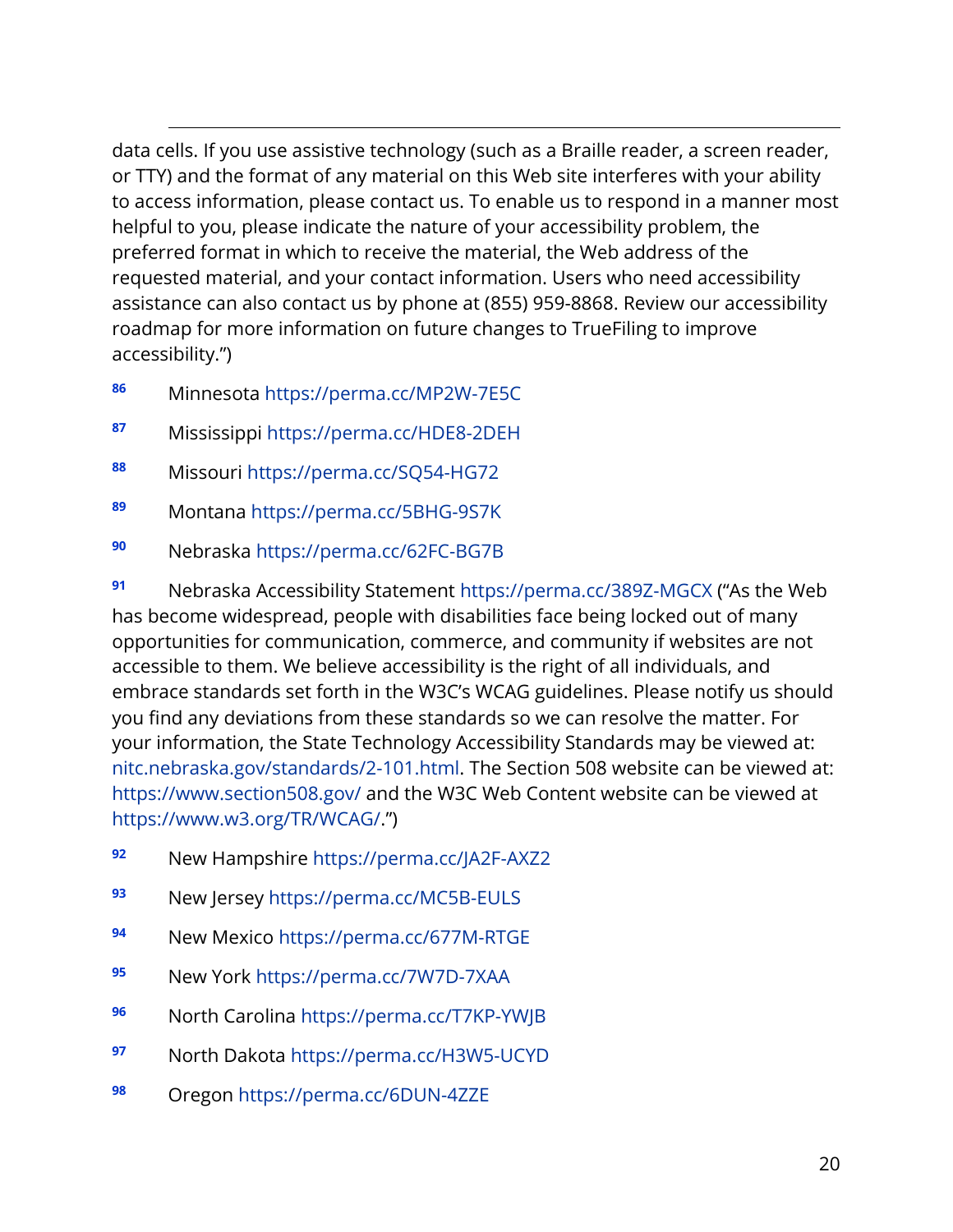<span id="page-20-12"></span><span id="page-20-11"></span><span id="page-20-10"></span><span id="page-20-9"></span><span id="page-20-8"></span><span id="page-20-7"></span><span id="page-20-6"></span><span id="page-20-5"></span><span id="page-20-4"></span><span id="page-20-3"></span><span id="page-20-2"></span><span id="page-20-1"></span><span id="page-20-0"></span>data cells. If you use assistive technology (such as a Braille reader, a screen reader, or TTY) and the format of any material on this Web site interferes with your ability to access information, please contact us. To enable us to respond in a manner most helpful to you, please indicate the nature of your accessibility problem, the preferred format in which to receive the material, the Web address of the requested material, and your contact information. Users who need accessibility assistance can also contact us by phone at (855) 959-8868. Review our accessibility roadmap for more information on future changes to TrueFiling to improve accessibility.")

- **<sup>86</sup>** Minnesota<https://perma.cc/MP2W-7E5C>
- **<sup>87</sup>** Mississippi<https://perma.cc/HDE8-2DEH>
- **<sup>88</sup>** Missouri<https://perma.cc/SQ54-HG72>
- **<sup>89</sup>** Montana<https://perma.cc/5BHG-9S7K>
- **<sup>90</sup>** Nebraska<https://perma.cc/62FC-BG7B>

**<sup>91</sup>** Nebraska Accessibility Statement<https://perma.cc/389Z-MGCX> ("As the Web has become widespread, people with disabilities face being locked out of many opportunities for communication, commerce, and community if websites are not accessible to them. We believe accessibility is the right of all individuals, and embrace standards set forth in the W3C's WCAG guidelines. Please notify us should you find any deviations from these standards so we can resolve the matter. For your information, the State Technology Accessibility Standards may be viewed at: [nitc.nebraska.gov/standards/2-101.html.](https://nitc.nebraska.gov/standards/2-101.pdf) The Section 508 website can be viewed at: <https://www.section508.gov/> and the W3C Web Content website can be viewed at [https://www.w3.org/TR/WCAG/.](https://www.w3.org/TR/WCAG/)")

- **<sup>92</sup>** New Hampshire<https://perma.cc/JA2F-AXZ2>
- **<sup>93</sup>** New Jersey<https://perma.cc/MC5B-EULS>
- **<sup>94</sup>** New Mexico<https://perma.cc/677M-RTGE>
- **<sup>95</sup>** New York<https://perma.cc/7W7D-7XAA>
- **<sup>96</sup>** North Carolina<https://perma.cc/T7KP-YWJB>
- **<sup>97</sup>** North Dakota<https://perma.cc/H3W5-UCYD>
- **<sup>98</sup>** Oregon<https://perma.cc/6DUN-4ZZE>